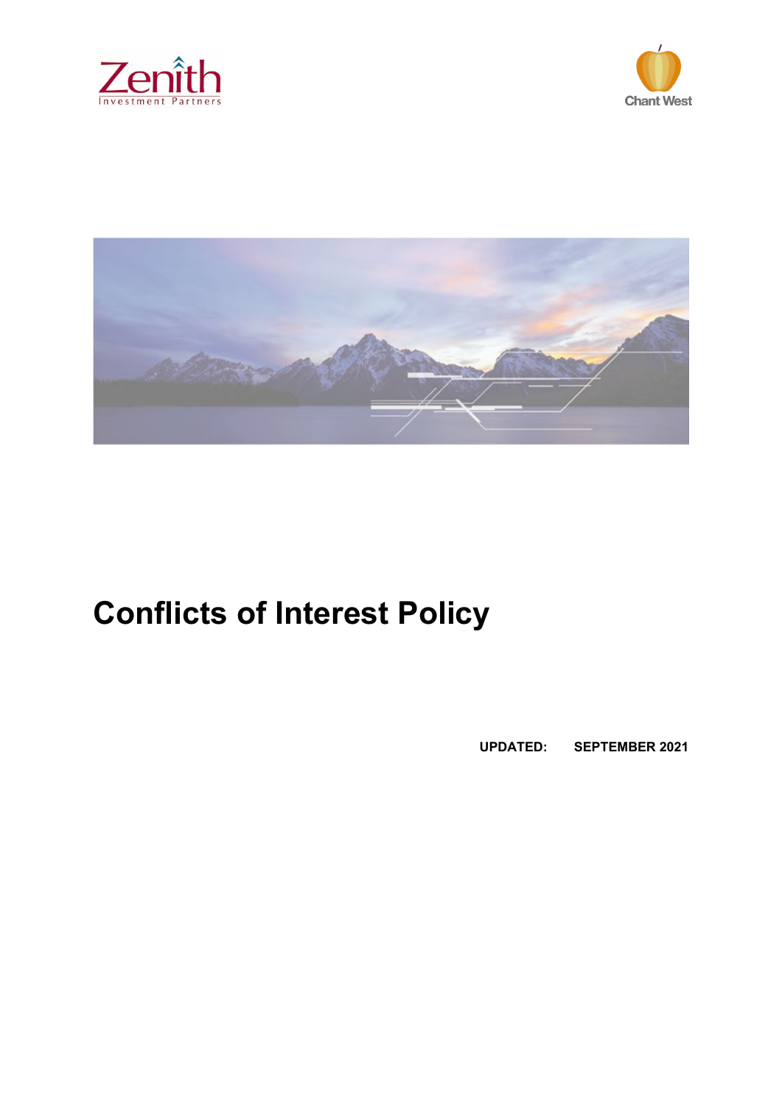





# **Conflicts of Interest Policy**

**UPDATED: SEPTEMBER 2021**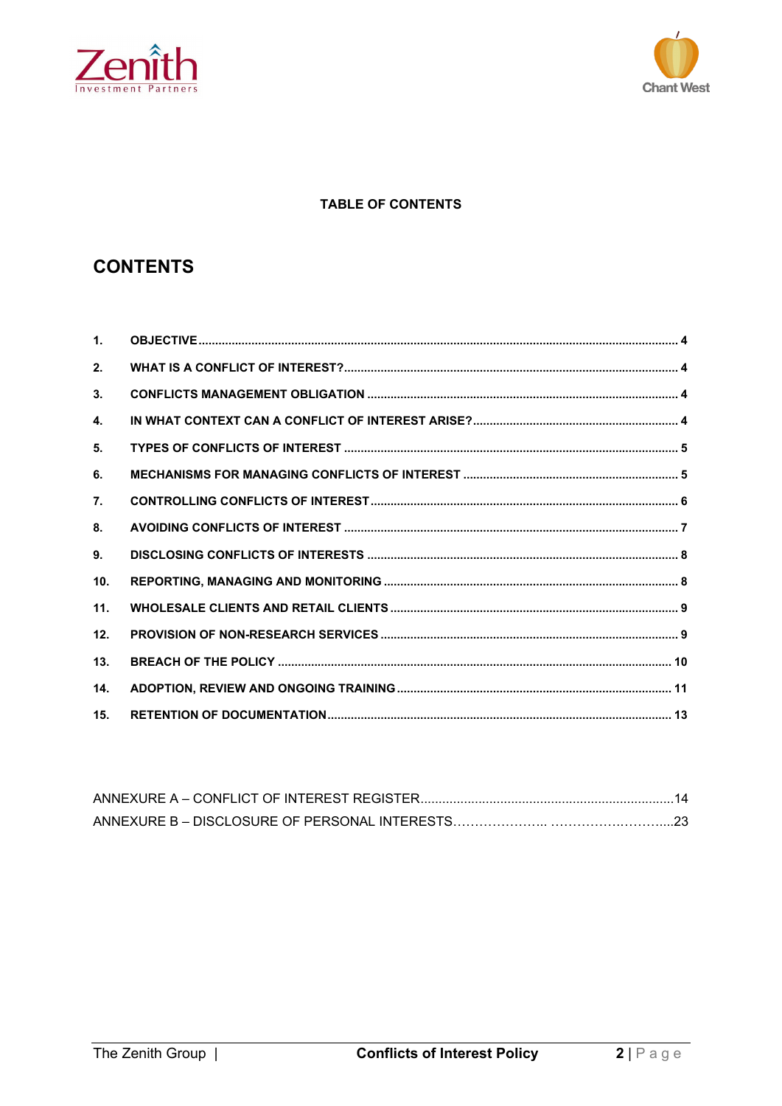



# **TABLE OF CONTENTS**

# **CONTENTS**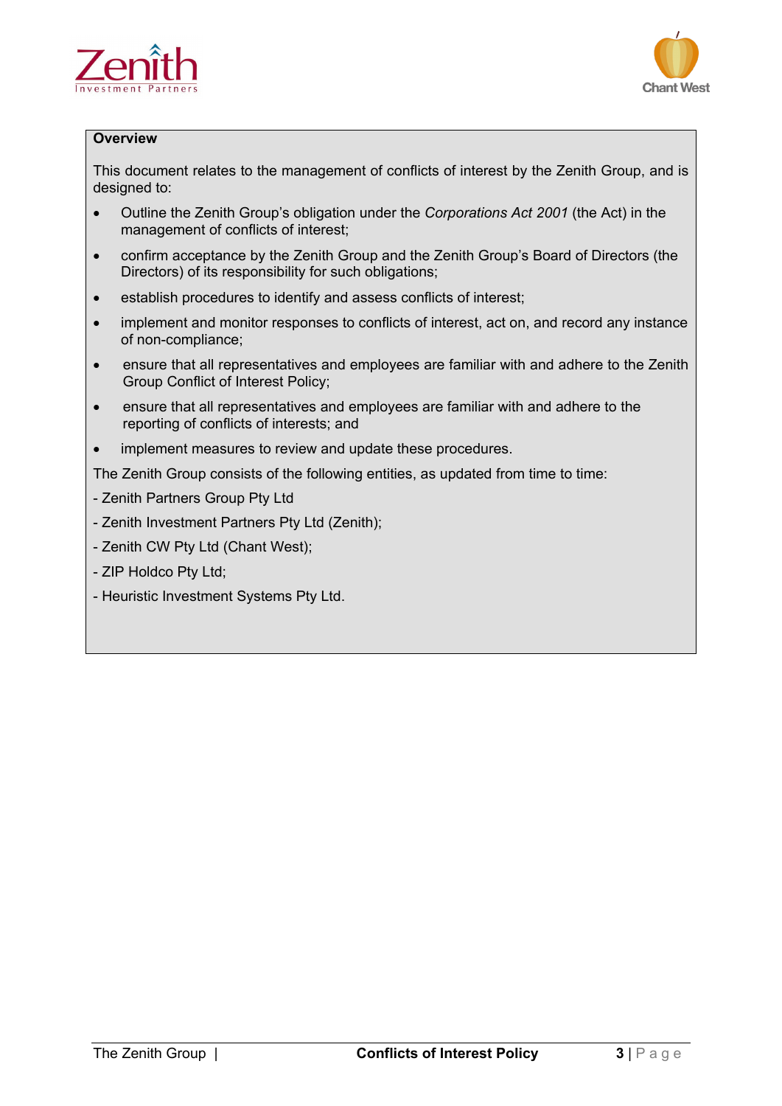



# **Overview**

This document relates to the management of conflicts of interest by the Zenith Group, and is designed to:

- Outline the Zenith Group's obligation under the *Corporations Act 2001* (the Act) in the management of conflicts of interest;
- confirm acceptance by the Zenith Group and the Zenith Group's Board of Directors (the Directors) of its responsibility for such obligations;
- establish procedures to identify and assess conflicts of interest;
- implement and monitor responses to conflicts of interest, act on, and record any instance of non-compliance;
- ensure that all representatives and employees are familiar with and adhere to the Zenith Group Conflict of Interest Policy;
- ensure that all representatives and employees are familiar with and adhere to the reporting of conflicts of interests; and
- implement measures to review and update these procedures.

The Zenith Group consists of the following entities, as updated from time to time:

- Zenith Partners Group Pty Ltd
- Zenith Investment Partners Pty Ltd (Zenith);
- Zenith CW Pty Ltd (Chant West);
- ZIP Holdco Pty Ltd;
- Heuristic Investment Systems Pty Ltd.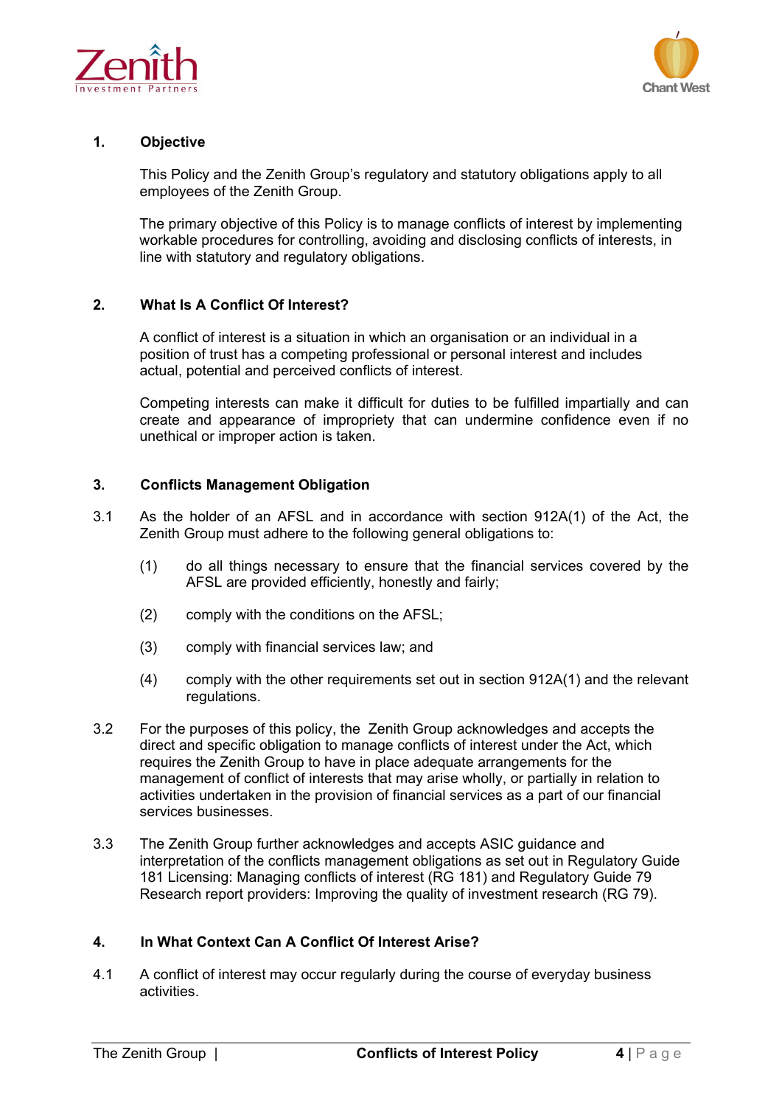



# <span id="page-3-0"></span>**1. Objective**

This Policy and the Zenith Group's regulatory and statutory obligations apply to all employees of the Zenith Group.

The primary objective of this Policy is to manage conflicts of interest by implementing workable procedures for controlling, avoiding and disclosing conflicts of interests, in line with statutory and regulatory obligations.

# <span id="page-3-1"></span>**2. What Is A Conflict Of Interest?**

A conflict of interest is a situation in which an organisation or an individual in a position of trust has a competing professional or personal interest and includes actual, potential and perceived conflicts of interest.

Competing interests can make it difficult for duties to be fulfilled impartially and can create and appearance of impropriety that can undermine confidence even if no unethical or improper action is taken.

# <span id="page-3-2"></span>**3. Conflicts Management Obligation**

- 3.1 As the holder of an AFSL and in accordance with section 912A(1) of the Act, the Zenith Group must adhere to the following general obligations to:
	- (1) do all things necessary to ensure that the financial services covered by the AFSL are provided efficiently, honestly and fairly;
	- (2) comply with the conditions on the AFSL;
	- (3) comply with financial services law; and
	- (4) comply with the other requirements set out in section 912A(1) and the relevant regulations.
- 3.2 For the purposes of this policy, the Zenith Group acknowledges and accepts the direct and specific obligation to manage conflicts of interest under the Act, which requires the Zenith Group to have in place adequate arrangements for the management of conflict of interests that may arise wholly, or partially in relation to activities undertaken in the provision of financial services as a part of our financial services businesses.
- 3.3 The Zenith Group further acknowledges and accepts ASIC guidance and interpretation of the conflicts management obligations as set out in Regulatory Guide 181 Licensing: Managing conflicts of interest (RG 181) and Regulatory Guide 79 Research report providers: Improving the quality of investment research (RG 79).

# <span id="page-3-3"></span>**4. In What Context Can A Conflict Of Interest Arise?**

4.1 A conflict of interest may occur regularly during the course of everyday business activities.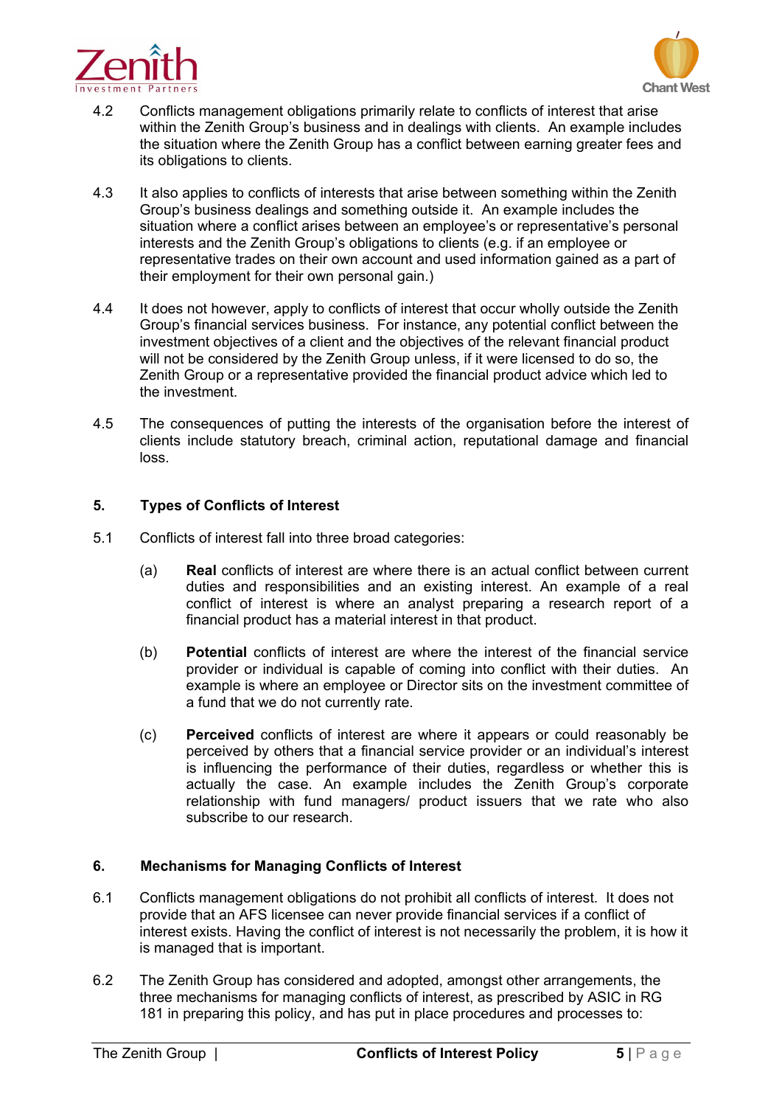



- 4.2 Conflicts management obligations primarily relate to conflicts of interest that arise within the Zenith Group's business and in dealings with clients. An example includes the situation where the Zenith Group has a conflict between earning greater fees and its obligations to clients.
- 4.3 It also applies to conflicts of interests that arise between something within the Zenith Group's business dealings and something outside it. An example includes the situation where a conflict arises between an employee's or representative's personal interests and the Zenith Group's obligations to clients (e.g. if an employee or representative trades on their own account and used information gained as a part of their employment for their own personal gain.)
- 4.4 It does not however, apply to conflicts of interest that occur wholly outside the Zenith Group's financial services business. For instance, any potential conflict between the investment objectives of a client and the objectives of the relevant financial product will not be considered by the Zenith Group unless, if it were licensed to do so, the Zenith Group or a representative provided the financial product advice which led to the investment.
- 4.5 The consequences of putting the interests of the organisation before the interest of clients include statutory breach, criminal action, reputational damage and financial loss.

# <span id="page-4-0"></span>**5. Types of Conflicts of Interest**

- 5.1 Conflicts of interest fall into three broad categories:
	- (a) **Real** conflicts of interest are where there is an actual conflict between current duties and responsibilities and an existing interest. An example of a real conflict of interest is where an analyst preparing a research report of a financial product has a material interest in that product.
	- (b) **Potential** conflicts of interest are where the interest of the financial service provider or individual is capable of coming into conflict with their duties. An example is where an employee or Director sits on the investment committee of a fund that we do not currently rate.
	- (c) **Perceived** conflicts of interest are where it appears or could reasonably be perceived by others that a financial service provider or an individual's interest is influencing the performance of their duties, regardless or whether this is actually the case. An example includes the Zenith Group's corporate relationship with fund managers/ product issuers that we rate who also subscribe to our research.

# <span id="page-4-1"></span>**6. Mechanisms for Managing Conflicts of Interest**

- 6.1 Conflicts management obligations do not prohibit all conflicts of interest. It does not provide that an AFS licensee can never provide financial services if a conflict of interest exists. Having the conflict of interest is not necessarily the problem, it is how it is managed that is important.
- 6.2 The Zenith Group has considered and adopted, amongst other arrangements, the three mechanisms for managing conflicts of interest, as prescribed by ASIC in RG 181 in preparing this policy, and has put in place procedures and processes to: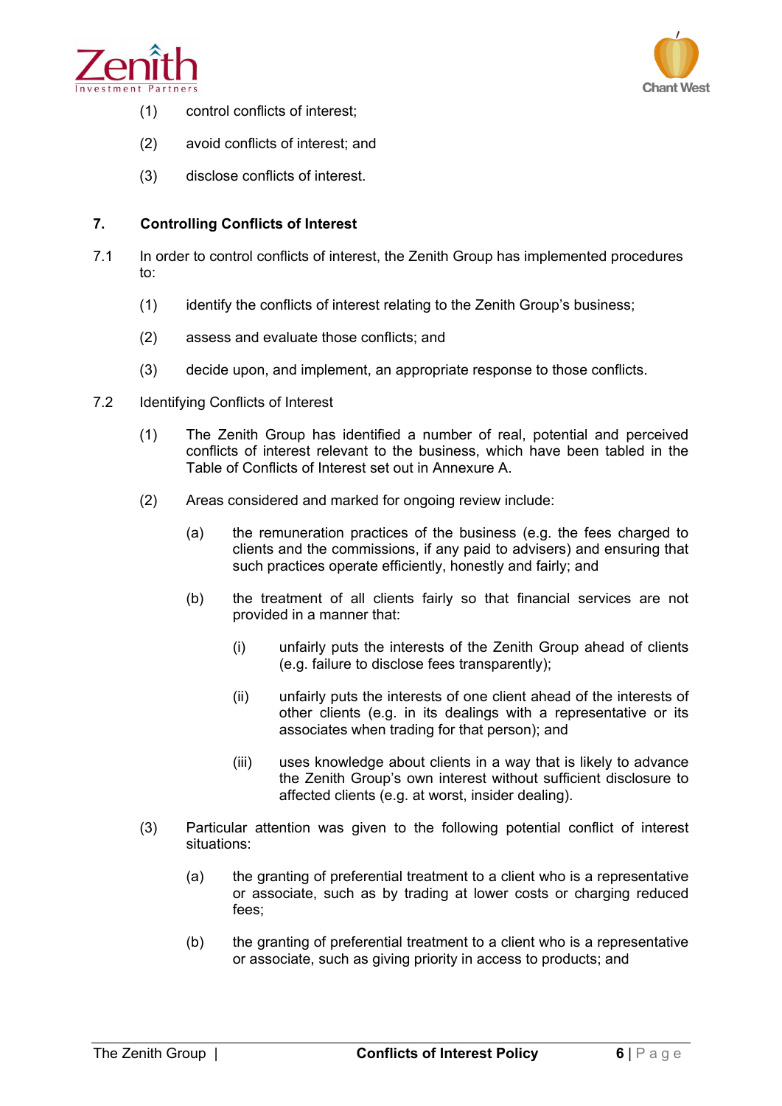



- (1) control conflicts of interest;
- (2) avoid conflicts of interest; and
- (3) disclose conflicts of interest.

# <span id="page-5-0"></span>**7. Controlling Conflicts of Interest**

- 7.1 In order to control conflicts of interest, the Zenith Group has implemented procedures to:
	- (1) identify the conflicts of interest relating to the Zenith Group's business;
	- (2) assess and evaluate those conflicts; and
	- (3) decide upon, and implement, an appropriate response to those conflicts.
- 7.2 Identifying Conflicts of Interest
	- (1) The Zenith Group has identified a number of real, potential and perceived conflicts of interest relevant to the business, which have been tabled in the Table of Conflicts of Interest set out in Annexure A.
	- (2) Areas considered and marked for ongoing review include:
		- (a) the remuneration practices of the business (e.g. the fees charged to clients and the commissions, if any paid to advisers) and ensuring that such practices operate efficiently, honestly and fairly; and
		- (b) the treatment of all clients fairly so that financial services are not provided in a manner that:
			- (i) unfairly puts the interests of the Zenith Group ahead of clients (e.g. failure to disclose fees transparently);
			- (ii) unfairly puts the interests of one client ahead of the interests of other clients (e.g. in its dealings with a representative or its associates when trading for that person); and
			- (iii) uses knowledge about clients in a way that is likely to advance the Zenith Group's own interest without sufficient disclosure to affected clients (e.g. at worst, insider dealing).
	- (3) Particular attention was given to the following potential conflict of interest situations:
		- (a) the granting of preferential treatment to a client who is a representative or associate, such as by trading at lower costs or charging reduced fees;
		- (b) the granting of preferential treatment to a client who is a representative or associate, such as giving priority in access to products; and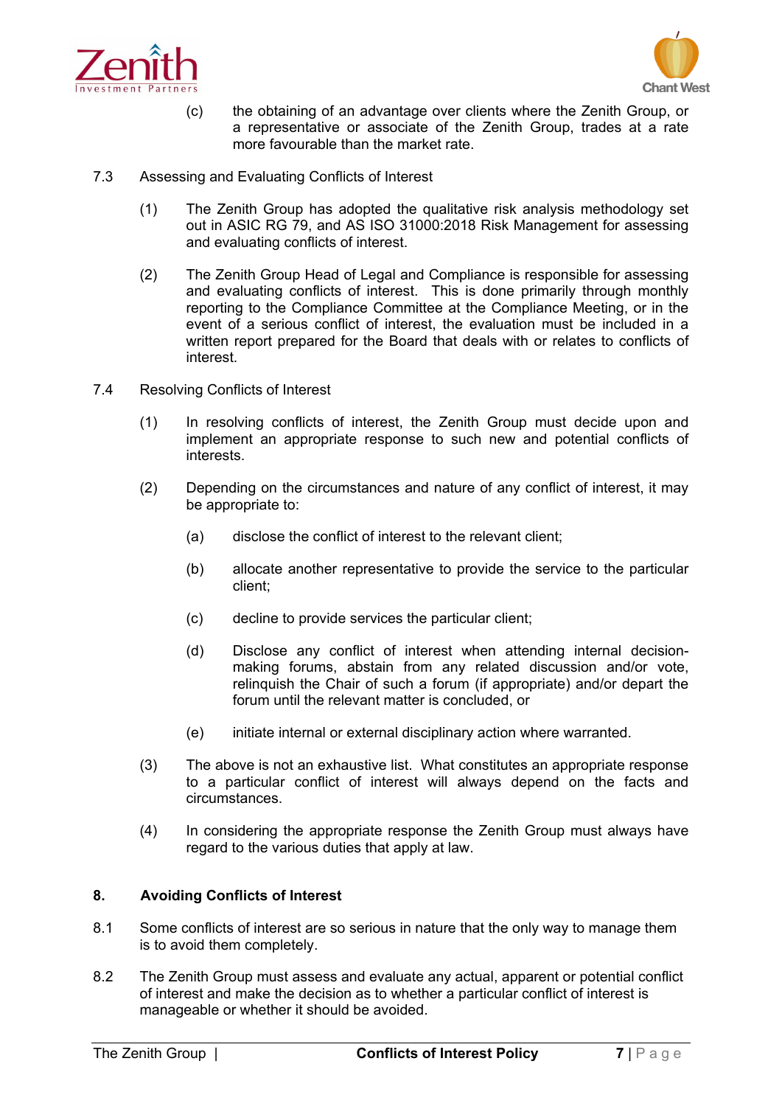



- (c) the obtaining of an advantage over clients where the Zenith Group, or a representative or associate of the Zenith Group, trades at a rate more favourable than the market rate.
- 7.3 Assessing and Evaluating Conflicts of Interest
	- (1) The Zenith Group has adopted the qualitative risk analysis methodology set out in ASIC RG 79, and AS ISO 31000:2018 Risk Management for assessing and evaluating conflicts of interest.
	- (2) The Zenith Group Head of Legal and Compliance is responsible for assessing and evaluating conflicts of interest. This is done primarily through monthly reporting to the Compliance Committee at the Compliance Meeting, or in the event of a serious conflict of interest, the evaluation must be included in a written report prepared for the Board that deals with or relates to conflicts of interest.
- 7.4 Resolving Conflicts of Interest
	- (1) In resolving conflicts of interest, the Zenith Group must decide upon and implement an appropriate response to such new and potential conflicts of interests.
	- (2) Depending on the circumstances and nature of any conflict of interest, it may be appropriate to:
		- (a) disclose the conflict of interest to the relevant client;
		- (b) allocate another representative to provide the service to the particular client;
		- (c) decline to provide services the particular client;
		- (d) Disclose any conflict of interest when attending internal decisionmaking forums, abstain from any related discussion and/or vote, relinquish the Chair of such a forum (if appropriate) and/or depart the forum until the relevant matter is concluded, or
		- (e) initiate internal or external disciplinary action where warranted.
	- (3) The above is not an exhaustive list. What constitutes an appropriate response to a particular conflict of interest will always depend on the facts and circumstances.
	- (4) In considering the appropriate response the Zenith Group must always have regard to the various duties that apply at law.

# <span id="page-6-0"></span>**8. Avoiding Conflicts of Interest**

- 8.1 Some conflicts of interest are so serious in nature that the only way to manage them is to avoid them completely.
- 8.2 The Zenith Group must assess and evaluate any actual, apparent or potential conflict of interest and make the decision as to whether a particular conflict of interest is manageable or whether it should be avoided.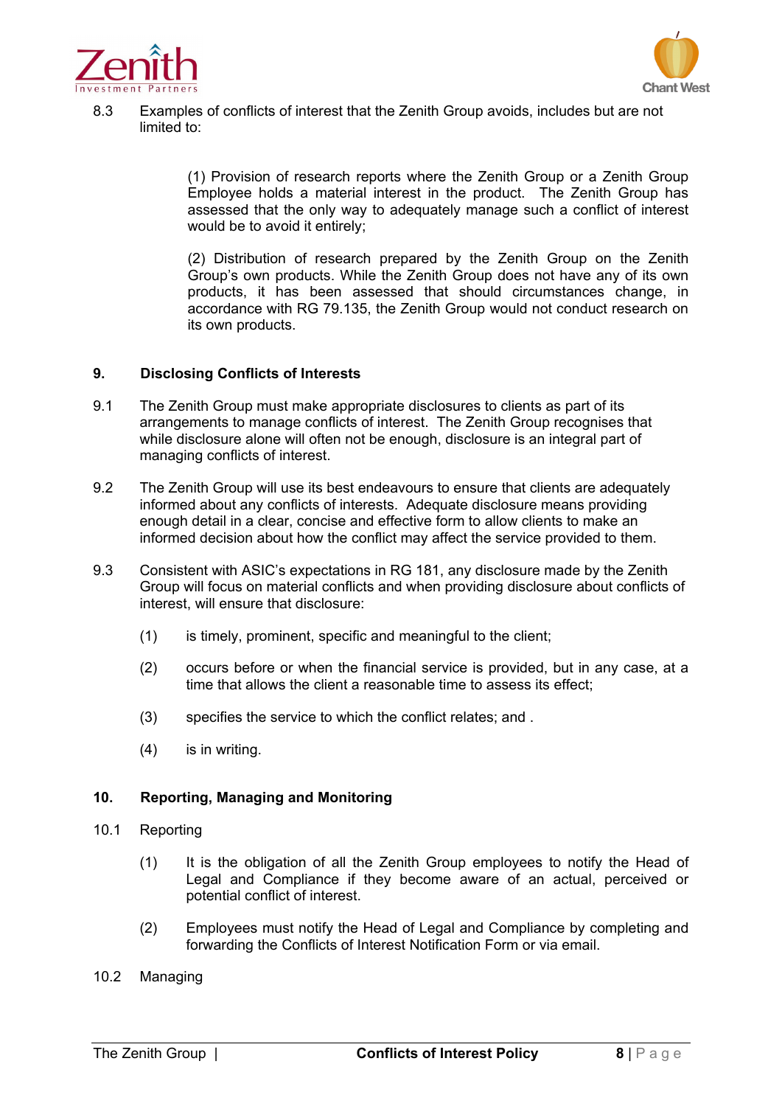



8.3 Examples of conflicts of interest that the Zenith Group avoids, includes but are not limited to:

> (1) Provision of research reports where the Zenith Group or a Zenith Group Employee holds a material interest in the product. The Zenith Group has assessed that the only way to adequately manage such a conflict of interest would be to avoid it entirely;

> (2) Distribution of research prepared by the Zenith Group on the Zenith Group's own products. While the Zenith Group does not have any of its own products, it has been assessed that should circumstances change, in accordance with RG 79.135, the Zenith Group would not conduct research on its own products.

#### <span id="page-7-0"></span>**9. Disclosing Conflicts of Interests**

- 9.1 The Zenith Group must make appropriate disclosures to clients as part of its arrangements to manage conflicts of interest. The Zenith Group recognises that while disclosure alone will often not be enough, disclosure is an integral part of managing conflicts of interest.
- 9.2 The Zenith Group will use its best endeavours to ensure that clients are adequately informed about any conflicts of interests. Adequate disclosure means providing enough detail in a clear, concise and effective form to allow clients to make an informed decision about how the conflict may affect the service provided to them.
- 9.3 Consistent with ASIC's expectations in RG 181, any disclosure made by the Zenith Group will focus on material conflicts and when providing disclosure about conflicts of interest, will ensure that disclosure:
	- (1) is timely, prominent, specific and meaningful to the client;
	- (2) occurs before or when the financial service is provided, but in any case, at a time that allows the client a reasonable time to assess its effect;
	- (3) specifies the service to which the conflict relates; and .
	- (4) is in writing.

# <span id="page-7-1"></span>**10. Reporting, Managing and Monitoring**

- 10.1 Reporting
	- (1) It is the obligation of all the Zenith Group employees to notify the Head of Legal and Compliance if they become aware of an actual, perceived or potential conflict of interest.
	- (2) Employees must notify the Head of Legal and Compliance by completing and forwarding the Conflicts of Interest Notification Form or via email.
- 10.2 Managing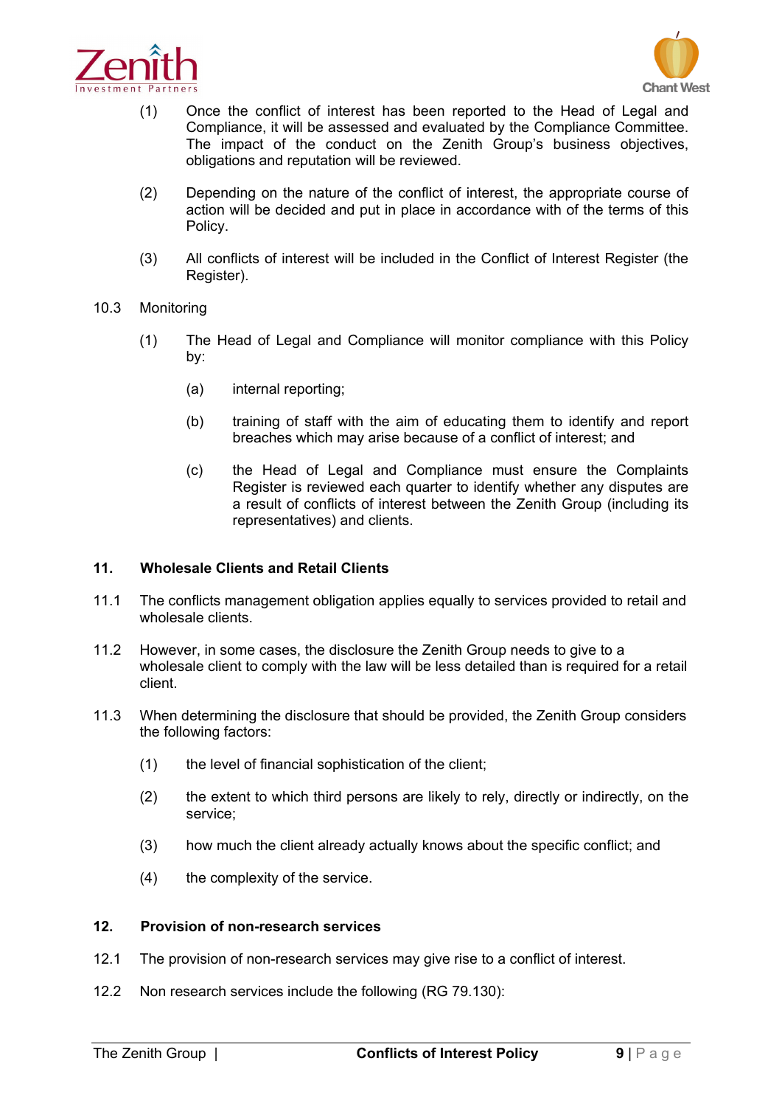



- (1) Once the conflict of interest has been reported to the Head of Legal and Compliance, it will be assessed and evaluated by the Compliance Committee. The impact of the conduct on the Zenith Group's business objectives, obligations and reputation will be reviewed.
- (2) Depending on the nature of the conflict of interest, the appropriate course of action will be decided and put in place in accordance with of the terms of this Policy.
- (3) All conflicts of interest will be included in the Conflict of Interest Register (the Register).
- 10.3 Monitoring
	- (1) The Head of Legal and Compliance will monitor compliance with this Policy by:
		- (a) internal reporting;
		- (b) training of staff with the aim of educating them to identify and report breaches which may arise because of a conflict of interest; and
		- (c) the Head of Legal and Compliance must ensure the Complaints Register is reviewed each quarter to identify whether any disputes are a result of conflicts of interest between the Zenith Group (including its representatives) and clients.

# <span id="page-8-0"></span>**11. Wholesale Clients and Retail Clients**

- 11.1 The conflicts management obligation applies equally to services provided to retail and wholesale clients.
- 11.2 However, in some cases, the disclosure the Zenith Group needs to give to a wholesale client to comply with the law will be less detailed than is required for a retail client.
- 11.3 When determining the disclosure that should be provided, the Zenith Group considers the following factors:
	- (1) the level of financial sophistication of the client;
	- (2) the extent to which third persons are likely to rely, directly or indirectly, on the service;
	- (3) how much the client already actually knows about the specific conflict; and
	- (4) the complexity of the service.

# <span id="page-8-1"></span>**12. Provision of non-research services**

- 12.1 The provision of non-research services may give rise to a conflict of interest.
- 12.2 Non research services include the following (RG 79.130):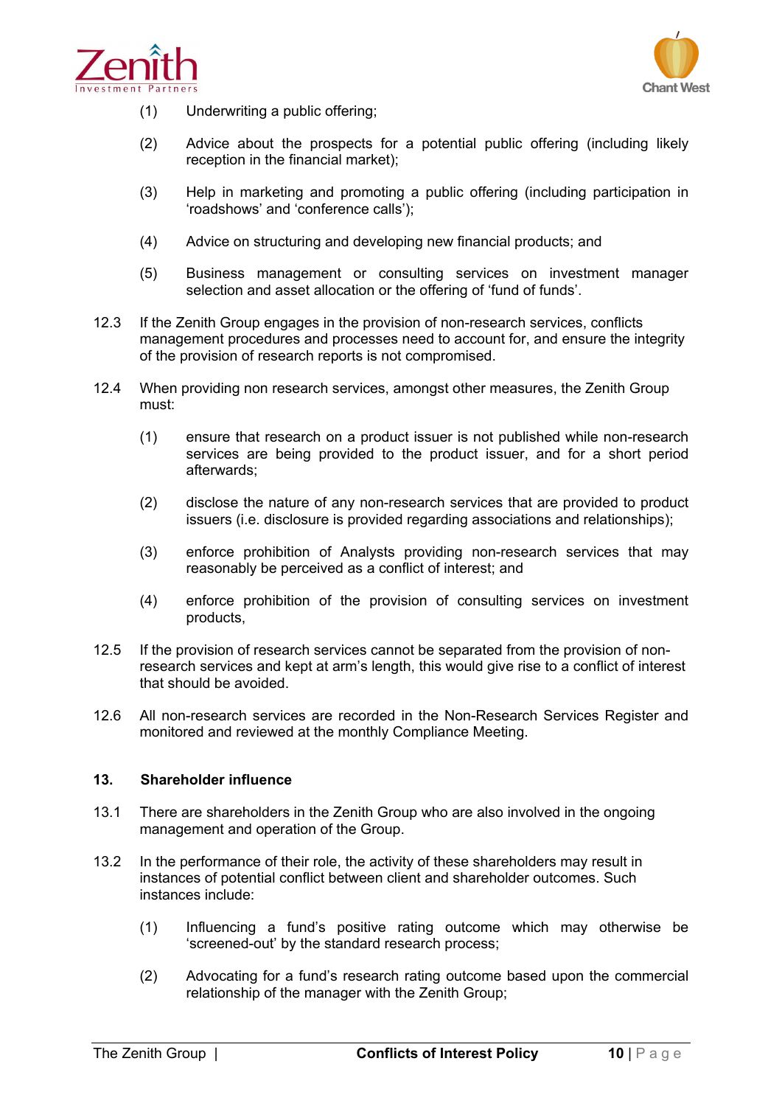



- (1) Underwriting a public offering;
- (2) Advice about the prospects for a potential public offering (including likely reception in the financial market);
- (3) Help in marketing and promoting a public offering (including participation in 'roadshows' and 'conference calls');
- (4) Advice on structuring and developing new financial products; and
- (5) Business management or consulting services on investment manager selection and asset allocation or the offering of 'fund of funds'.
- 12.3 If the Zenith Group engages in the provision of non-research services, conflicts management procedures and processes need to account for, and ensure the integrity of the provision of research reports is not compromised.
- 12.4 When providing non research services, amongst other measures, the Zenith Group must:
	- (1) ensure that research on a product issuer is not published while non-research services are being provided to the product issuer, and for a short period afterwards;
	- (2) disclose the nature of any non-research services that are provided to product issuers (i.e. disclosure is provided regarding associations and relationships);
	- (3) enforce prohibition of Analysts providing non-research services that may reasonably be perceived as a conflict of interest; and
	- (4) enforce prohibition of the provision of consulting services on investment products,
- 12.5 If the provision of research services cannot be separated from the provision of nonresearch services and kept at arm's length, this would give rise to a conflict of interest that should be avoided.
- <span id="page-9-0"></span>12.6 All non-research services are recorded in the Non-Research Services Register and monitored and reviewed at the monthly Compliance Meeting.

# **13. Shareholder influence**

- 13.1 There are shareholders in the Zenith Group who are also involved in the ongoing management and operation of the Group.
- 13.2 In the performance of their role, the activity of these shareholders may result in instances of potential conflict between client and shareholder outcomes. Such instances include:
	- (1) Influencing a fund's positive rating outcome which may otherwise be 'screened-out' by the standard research process;
	- (2) Advocating for a fund's research rating outcome based upon the commercial relationship of the manager with the Zenith Group;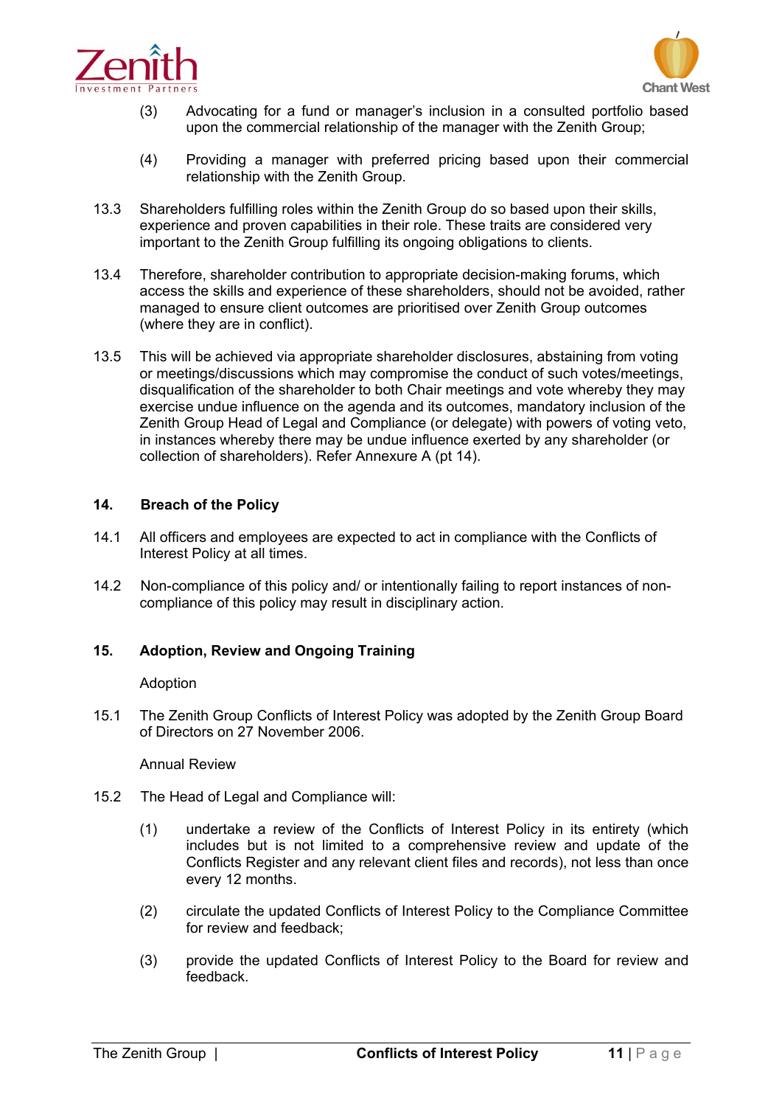



- (3) Advocating for a fund or manager's inclusion in a consulted portfolio based upon the commercial relationship of the manager with the Zenith Group;
- (4) Providing a manager with preferred pricing based upon their commercial relationship with the Zenith Group.
- 13.3 Shareholders fulfilling roles within the Zenith Group do so based upon their skills, experience and proven capabilities in their role. These traits are considered very important to the Zenith Group fulfilling its ongoing obligations to clients.
- 13.4 Therefore, shareholder contribution to appropriate decision-making forums, which access the skills and experience of these shareholders, should not be avoided, rather managed to ensure client outcomes are prioritised over Zenith Group outcomes (where they are in conflict).
- 13.5 This will be achieved via appropriate shareholder disclosures, abstaining from voting or meetings/discussions which may compromise the conduct of such votes/meetings, disqualification of the shareholder to both Chair meetings and vote whereby they may exercise undue influence on the agenda and its outcomes, mandatory inclusion of the Zenith Group Head of Legal and Compliance (or delegate) with powers of voting veto, in instances whereby there may be undue influence exerted by any shareholder (or collection of shareholders). Refer Annexure A (pt 14).

# **14. Breach of the Policy**

- 14.1 All officers and employees are expected to act in compliance with the Conflicts of Interest Policy at all times.
- <span id="page-10-0"></span>14.2 Non-compliance of this policy and/ or intentionally failing to report instances of noncompliance of this policy may result in disciplinary action.

# **15. Adoption, Review and Ongoing Training**

#### Adoption

15.1 The Zenith Group Conflicts of Interest Policy was adopted by the Zenith Group Board of Directors on 27 November 2006.

# Annual Review

- 15.2 The Head of Legal and Compliance will:
	- (1) undertake a review of the Conflicts of Interest Policy in its entirety (which includes but is not limited to a comprehensive review and update of the Conflicts Register and any relevant client files and records), not less than once every 12 months.
	- (2) circulate the updated Conflicts of Interest Policy to the Compliance Committee for review and feedback;
	- (3) provide the updated Conflicts of Interest Policy to the Board for review and feedback.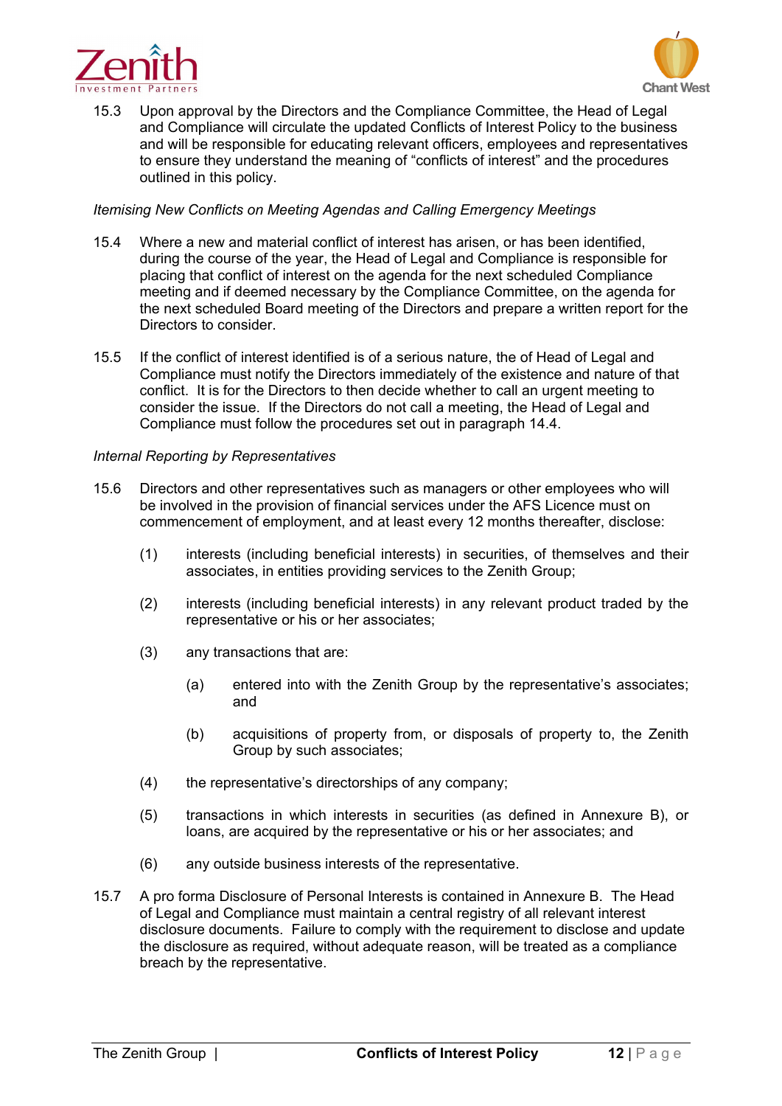



15.3 Upon approval by the Directors and the Compliance Committee, the Head of Legal and Compliance will circulate the updated Conflicts of Interest Policy to the business and will be responsible for educating relevant officers, employees and representatives to ensure they understand the meaning of "conflicts of interest" and the procedures outlined in this policy.

#### *Itemising New Conflicts on Meeting Agendas and Calling Emergency Meetings*

- 15.4 Where a new and material conflict of interest has arisen, or has been identified, during the course of the year, the Head of Legal and Compliance is responsible for placing that conflict of interest on the agenda for the next scheduled Compliance meeting and if deemed necessary by the Compliance Committee, on the agenda for the next scheduled Board meeting of the Directors and prepare a written report for the Directors to consider.
- 15.5 If the conflict of interest identified is of a serious nature, the of Head of Legal and Compliance must notify the Directors immediately of the existence and nature of that conflict. It is for the Directors to then decide whether to call an urgent meeting to consider the issue. If the Directors do not call a meeting, the Head of Legal and Compliance must follow the procedures set out in paragraph 14.4.

#### *Internal Reporting by Representatives*

- 15.6 Directors and other representatives such as managers or other employees who will be involved in the provision of financial services under the AFS Licence must on commencement of employment, and at least every 12 months thereafter, disclose:
	- (1) interests (including beneficial interests) in securities, of themselves and their associates, in entities providing services to the Zenith Group;
	- (2) interests (including beneficial interests) in any relevant product traded by the representative or his or her associates;
	- (3) any transactions that are:
		- (a) entered into with the Zenith Group by the representative's associates; and
		- (b) acquisitions of property from, or disposals of property to, the Zenith Group by such associates;
	- (4) the representative's directorships of any company;
	- (5) transactions in which interests in securities (as defined in Annexure B), or loans, are acquired by the representative or his or her associates; and
	- (6) any outside business interests of the representative.
- 15.7 A pro forma Disclosure of Personal Interests is contained in Annexure B. The Head of Legal and Compliance must maintain a central registry of all relevant interest disclosure documents. Failure to comply with the requirement to disclose and update the disclosure as required, without adequate reason, will be treated as a compliance breach by the representative.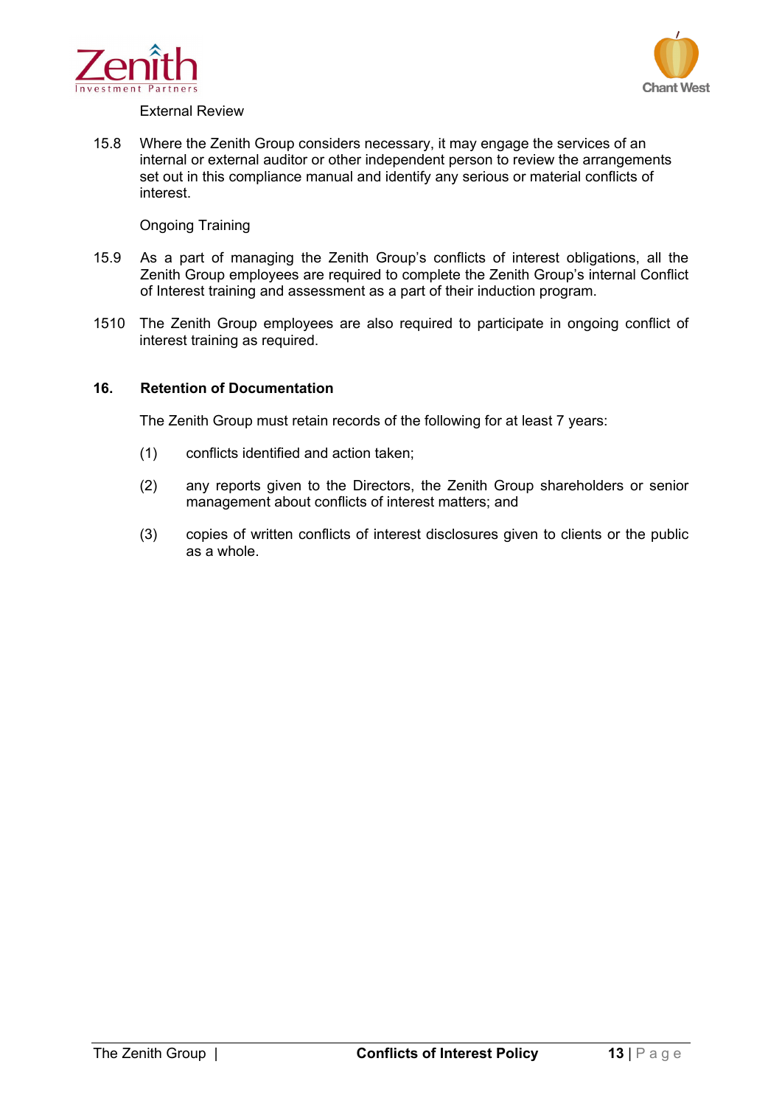



#### External Review

15.8 Where the Zenith Group considers necessary, it may engage the services of an internal or external auditor or other independent person to review the arrangements set out in this compliance manual and identify any serious or material conflicts of interest.

# Ongoing Training

- 15.9 As a part of managing the Zenith Group's conflicts of interest obligations, all the Zenith Group employees are required to complete the Zenith Group's internal Conflict of Interest training and assessment as a part of their induction program.
- <span id="page-12-0"></span>1510 The Zenith Group employees are also required to participate in ongoing conflict of interest training as required.

#### **16. Retention of Documentation**

The Zenith Group must retain records of the following for at least 7 years:

- (1) conflicts identified and action taken;
- (2) any reports given to the Directors, the Zenith Group shareholders or senior management about conflicts of interest matters; and
- (3) copies of written conflicts of interest disclosures given to clients or the public as a whole.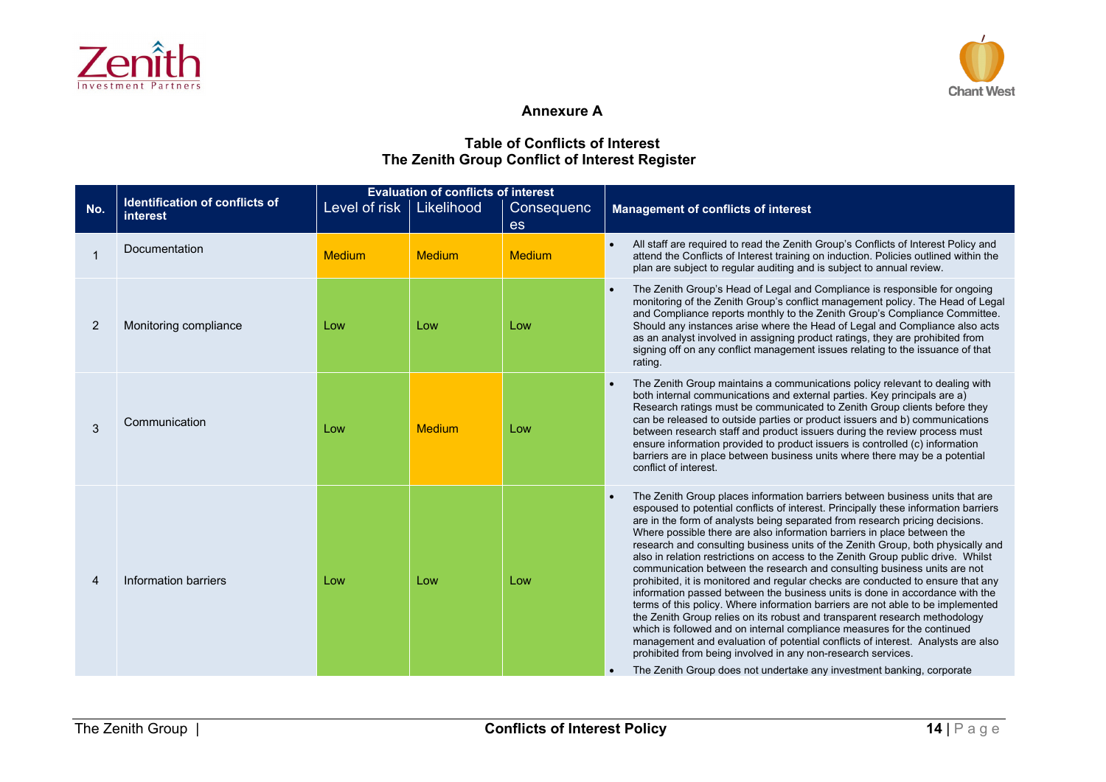



# **Annexure A**

# **Table of Conflicts of Interest The Zenith Group Conflict of Interest Register**

|                |                                                   | <b>Evaluation of conflicts of interest</b> |               |               |                                                                                                                                                                                                                                                                                                                                                                                                                                                                                                                                                                                                                                                                                                                                                                                                                                                                                                                                                                                                                                                                                                                                                                                                                              |
|----------------|---------------------------------------------------|--------------------------------------------|---------------|---------------|------------------------------------------------------------------------------------------------------------------------------------------------------------------------------------------------------------------------------------------------------------------------------------------------------------------------------------------------------------------------------------------------------------------------------------------------------------------------------------------------------------------------------------------------------------------------------------------------------------------------------------------------------------------------------------------------------------------------------------------------------------------------------------------------------------------------------------------------------------------------------------------------------------------------------------------------------------------------------------------------------------------------------------------------------------------------------------------------------------------------------------------------------------------------------------------------------------------------------|
| No.            | <b>Identification of conflicts of</b><br>interest | Level of risk   Likelihood                 |               | Consequenc    | <b>Management of conflicts of interest</b>                                                                                                                                                                                                                                                                                                                                                                                                                                                                                                                                                                                                                                                                                                                                                                                                                                                                                                                                                                                                                                                                                                                                                                                   |
|                |                                                   |                                            |               | es            |                                                                                                                                                                                                                                                                                                                                                                                                                                                                                                                                                                                                                                                                                                                                                                                                                                                                                                                                                                                                                                                                                                                                                                                                                              |
|                | Documentation                                     | <b>Medium</b>                              | Medium        | <b>Medium</b> | All staff are required to read the Zenith Group's Conflicts of Interest Policy and<br>attend the Conflicts of Interest training on induction. Policies outlined within the<br>plan are subject to regular auditing and is subject to annual review.                                                                                                                                                                                                                                                                                                                                                                                                                                                                                                                                                                                                                                                                                                                                                                                                                                                                                                                                                                          |
| 2              | Monitoring compliance                             | Low                                        | Low           | Low           | The Zenith Group's Head of Legal and Compliance is responsible for ongoing<br>monitoring of the Zenith Group's conflict management policy. The Head of Legal<br>and Compliance reports monthly to the Zenith Group's Compliance Committee.<br>Should any instances arise where the Head of Legal and Compliance also acts<br>as an analyst involved in assigning product ratings, they are prohibited from<br>signing off on any conflict management issues relating to the issuance of that<br>rating.                                                                                                                                                                                                                                                                                                                                                                                                                                                                                                                                                                                                                                                                                                                      |
| 3              | Communication                                     | Low                                        | <b>Medium</b> | Low           | The Zenith Group maintains a communications policy relevant to dealing with<br>$\bullet$<br>both internal communications and external parties. Key principals are a)<br>Research ratings must be communicated to Zenith Group clients before they<br>can be released to outside parties or product issuers and b) communications<br>between research staff and product issuers during the review process must<br>ensure information provided to product issuers is controlled (c) information<br>barriers are in place between business units where there may be a potential<br>conflict of interest.                                                                                                                                                                                                                                                                                                                                                                                                                                                                                                                                                                                                                        |
| $\overline{4}$ | Information barriers                              | Low                                        | Low           | Low           | The Zenith Group places information barriers between business units that are<br>espoused to potential conflicts of interest. Principally these information barriers<br>are in the form of analysts being separated from research pricing decisions.<br>Where possible there are also information barriers in place between the<br>research and consulting business units of the Zenith Group, both physically and<br>also in relation restrictions on access to the Zenith Group public drive. Whilst<br>communication between the research and consulting business units are not<br>prohibited, it is monitored and regular checks are conducted to ensure that any<br>information passed between the business units is done in accordance with the<br>terms of this policy. Where information barriers are not able to be implemented<br>the Zenith Group relies on its robust and transparent research methodology<br>which is followed and on internal compliance measures for the continued<br>management and evaluation of potential conflicts of interest. Analysts are also<br>prohibited from being involved in any non-research services.<br>The Zenith Group does not undertake any investment banking, corporate |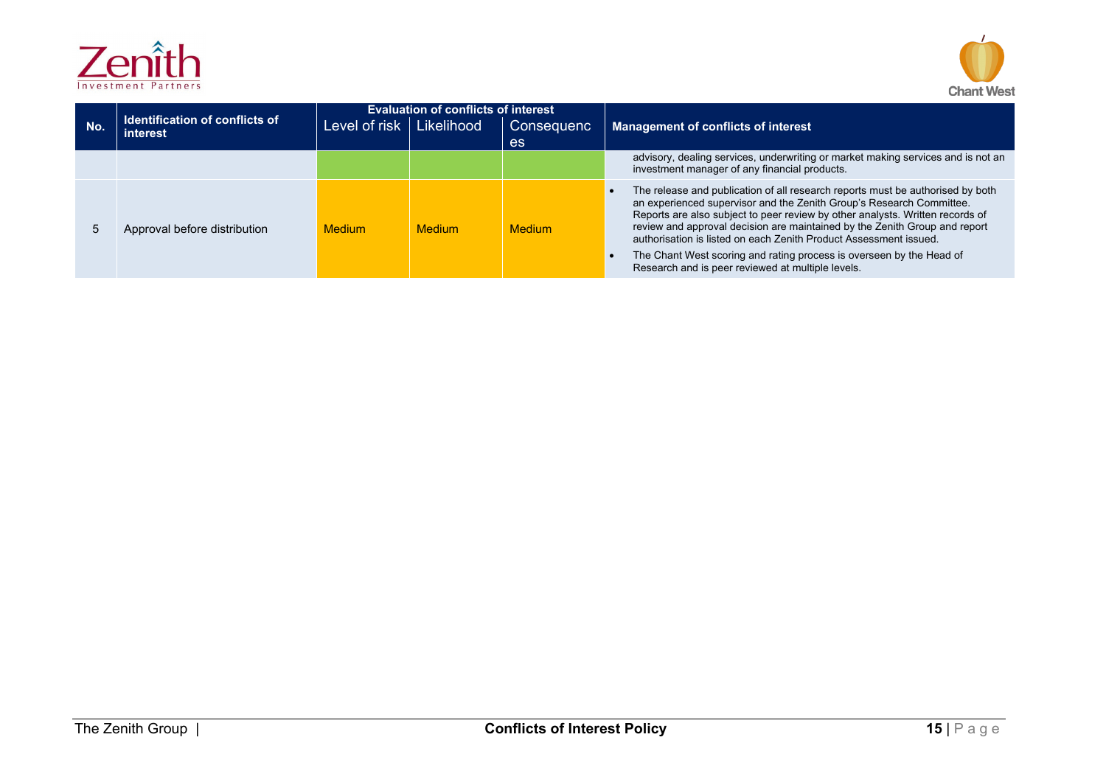



| No. | <b>Identification of conflicts of</b><br><b>interest</b> | Level of risk | <b>Evaluation of conflicts of interest</b><br>Likelihood | <b>Consequenc</b><br><b>es</b> | <b>Management of conflicts of interest</b>                                                                                                                                                                                                                                                                                                                                                                                                                                                                              |
|-----|----------------------------------------------------------|---------------|----------------------------------------------------------|--------------------------------|-------------------------------------------------------------------------------------------------------------------------------------------------------------------------------------------------------------------------------------------------------------------------------------------------------------------------------------------------------------------------------------------------------------------------------------------------------------------------------------------------------------------------|
|     |                                                          |               |                                                          |                                | advisory, dealing services, underwriting or market making services and is not an<br>investment manager of any financial products.                                                                                                                                                                                                                                                                                                                                                                                       |
|     | Approval before distribution                             | <b>Medium</b> | <b>Medium</b>                                            | <b>Medium</b>                  | The release and publication of all research reports must be authorised by both<br>an experienced supervisor and the Zenith Group's Research Committee.<br>Reports are also subject to peer review by other analysts. Written records of<br>review and approval decision are maintained by the Zenith Group and report<br>authorisation is listed on each Zenith Product Assessment issued.<br>The Chant West scoring and rating process is overseen by the Head of<br>Research and is peer reviewed at multiple levels. |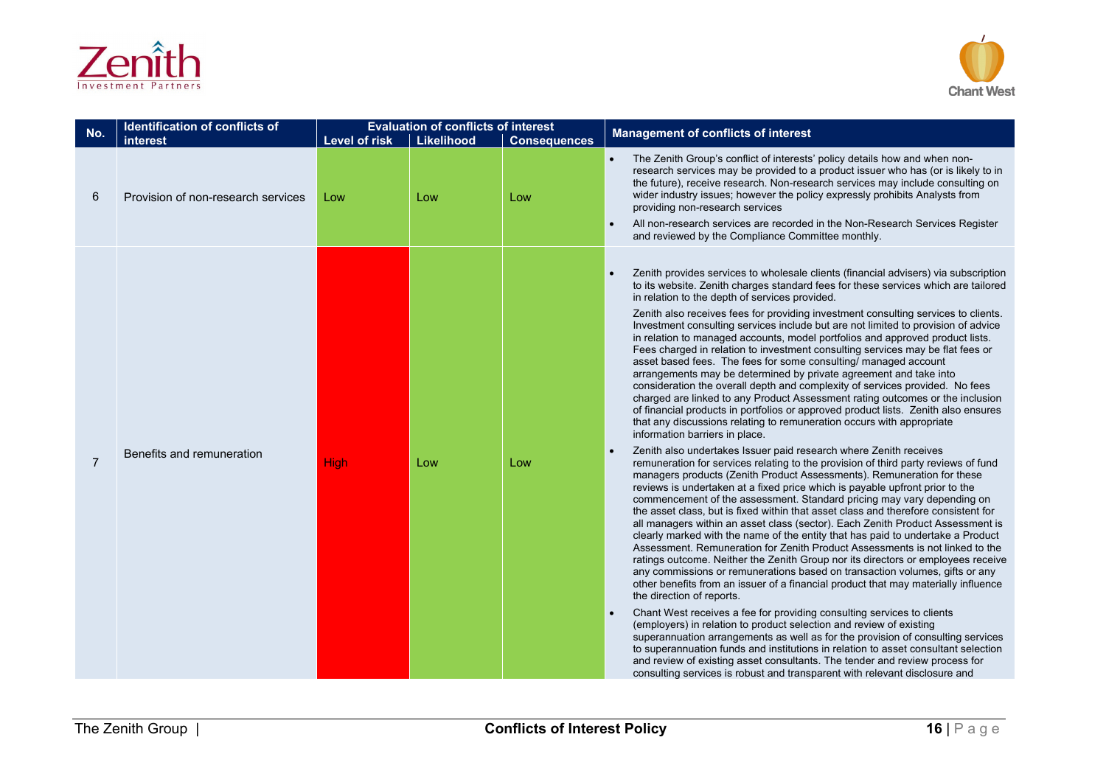



| No.            | Identification of conflicts of<br>interest | Level of risk | <b>Evaluation of conflicts of interest</b><br><b>Likelihood</b> | <b>Consequences</b> | <b>Management of conflicts of interest</b>                                                                                                                                                                                                                                                                                                                                                                                                                                                                                                                                                                                                                                                                                                                                                                                                                                                                                                                                                                                                                                                                                                                                                                                                                                                                                                                                                                                                                                                                                                                                                                                                                                                                                                                                                                                                                                                                                                                                                                                                                                                                                                                                                                                                                                                                                                                                                                                                                                                                                                                                                                 |
|----------------|--------------------------------------------|---------------|-----------------------------------------------------------------|---------------------|------------------------------------------------------------------------------------------------------------------------------------------------------------------------------------------------------------------------------------------------------------------------------------------------------------------------------------------------------------------------------------------------------------------------------------------------------------------------------------------------------------------------------------------------------------------------------------------------------------------------------------------------------------------------------------------------------------------------------------------------------------------------------------------------------------------------------------------------------------------------------------------------------------------------------------------------------------------------------------------------------------------------------------------------------------------------------------------------------------------------------------------------------------------------------------------------------------------------------------------------------------------------------------------------------------------------------------------------------------------------------------------------------------------------------------------------------------------------------------------------------------------------------------------------------------------------------------------------------------------------------------------------------------------------------------------------------------------------------------------------------------------------------------------------------------------------------------------------------------------------------------------------------------------------------------------------------------------------------------------------------------------------------------------------------------------------------------------------------------------------------------------------------------------------------------------------------------------------------------------------------------------------------------------------------------------------------------------------------------------------------------------------------------------------------------------------------------------------------------------------------------------------------------------------------------------------------------------------------------|
| 6              | Provision of non-research services         | Low           | Low                                                             | Low                 | The Zenith Group's conflict of interests' policy details how and when non-<br>research services may be provided to a product issuer who has (or is likely to in<br>the future), receive research. Non-research services may include consulting on<br>wider industry issues; however the policy expressly prohibits Analysts from<br>providing non-research services<br>All non-research services are recorded in the Non-Research Services Register<br>and reviewed by the Compliance Committee monthly.                                                                                                                                                                                                                                                                                                                                                                                                                                                                                                                                                                                                                                                                                                                                                                                                                                                                                                                                                                                                                                                                                                                                                                                                                                                                                                                                                                                                                                                                                                                                                                                                                                                                                                                                                                                                                                                                                                                                                                                                                                                                                                   |
| $\overline{7}$ | Benefits and remuneration                  | <b>High</b>   | Low                                                             | Low                 | Zenith provides services to wholesale clients (financial advisers) via subscription<br>to its website. Zenith charges standard fees for these services which are tailored<br>in relation to the depth of services provided.<br>Zenith also receives fees for providing investment consulting services to clients.<br>Investment consulting services include but are not limited to provision of advice<br>in relation to managed accounts, model portfolios and approved product lists.<br>Fees charged in relation to investment consulting services may be flat fees or<br>asset based fees. The fees for some consulting/ managed account<br>arrangements may be determined by private agreement and take into<br>consideration the overall depth and complexity of services provided. No fees<br>charged are linked to any Product Assessment rating outcomes or the inclusion<br>of financial products in portfolios or approved product lists. Zenith also ensures<br>that any discussions relating to remuneration occurs with appropriate<br>information barriers in place.<br>Zenith also undertakes Issuer paid research where Zenith receives<br>remuneration for services relating to the provision of third party reviews of fund<br>managers products (Zenith Product Assessments). Remuneration for these<br>reviews is undertaken at a fixed price which is payable upfront prior to the<br>commencement of the assessment. Standard pricing may vary depending on<br>the asset class, but is fixed within that asset class and therefore consistent for<br>all managers within an asset class (sector). Each Zenith Product Assessment is<br>clearly marked with the name of the entity that has paid to undertake a Product<br>Assessment. Remuneration for Zenith Product Assessments is not linked to the<br>ratings outcome. Neither the Zenith Group nor its directors or employees receive<br>any commissions or remunerations based on transaction volumes, gifts or any<br>other benefits from an issuer of a financial product that may materially influence<br>the direction of reports.<br>Chant West receives a fee for providing consulting services to clients<br>(employers) in relation to product selection and review of existing<br>superannuation arrangements as well as for the provision of consulting services<br>to superannuation funds and institutions in relation to asset consultant selection<br>and review of existing asset consultants. The tender and review process for<br>consulting services is robust and transparent with relevant disclosure and |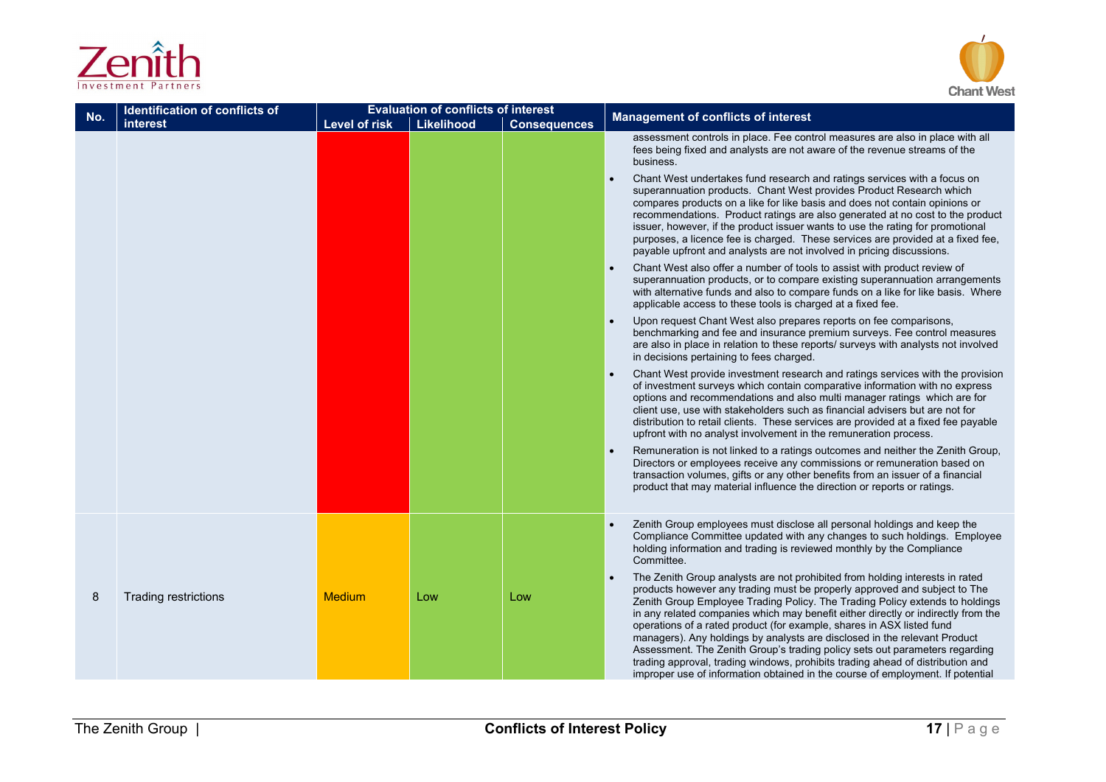



| No. | <b>Identification of conflicts of</b> |               | <b>Evaluation of conflicts of interest</b> |                     | <b>Management of conflicts of interest</b>                                                                                                                                                                                                                                                                                                                                                                                                                                                                                                                                                                                                                                                                                              |  |
|-----|---------------------------------------|---------------|--------------------------------------------|---------------------|-----------------------------------------------------------------------------------------------------------------------------------------------------------------------------------------------------------------------------------------------------------------------------------------------------------------------------------------------------------------------------------------------------------------------------------------------------------------------------------------------------------------------------------------------------------------------------------------------------------------------------------------------------------------------------------------------------------------------------------------|--|
|     | interest                              | Level of risk | Likelihood                                 | <b>Consequences</b> |                                                                                                                                                                                                                                                                                                                                                                                                                                                                                                                                                                                                                                                                                                                                         |  |
|     |                                       |               |                                            |                     | assessment controls in place. Fee control measures are also in place with all<br>fees being fixed and analysts are not aware of the revenue streams of the<br>business.                                                                                                                                                                                                                                                                                                                                                                                                                                                                                                                                                                 |  |
|     |                                       |               |                                            |                     | Chant West undertakes fund research and ratings services with a focus on<br>superannuation products. Chant West provides Product Research which<br>compares products on a like for like basis and does not contain opinions or<br>recommendations. Product ratings are also generated at no cost to the product<br>issuer, however, if the product issuer wants to use the rating for promotional<br>purposes, a licence fee is charged. These services are provided at a fixed fee,<br>payable upfront and analysts are not involved in pricing discussions.                                                                                                                                                                           |  |
|     |                                       |               |                                            |                     | Chant West also offer a number of tools to assist with product review of<br>superannuation products, or to compare existing superannuation arrangements<br>with alternative funds and also to compare funds on a like for like basis. Where<br>applicable access to these tools is charged at a fixed fee.                                                                                                                                                                                                                                                                                                                                                                                                                              |  |
|     |                                       |               |                                            |                     | Upon request Chant West also prepares reports on fee comparisons,<br>benchmarking and fee and insurance premium surveys. Fee control measures<br>are also in place in relation to these reports/ surveys with analysts not involved<br>in decisions pertaining to fees charged.                                                                                                                                                                                                                                                                                                                                                                                                                                                         |  |
|     |                                       |               |                                            |                     | Chant West provide investment research and ratings services with the provision<br>of investment surveys which contain comparative information with no express<br>options and recommendations and also multi manager ratings which are for<br>client use, use with stakeholders such as financial advisers but are not for<br>distribution to retail clients. These services are provided at a fixed fee payable<br>upfront with no analyst involvement in the remuneration process.                                                                                                                                                                                                                                                     |  |
|     |                                       |               |                                            |                     | Remuneration is not linked to a ratings outcomes and neither the Zenith Group,<br>Directors or employees receive any commissions or remuneration based on<br>transaction volumes, gifts or any other benefits from an issuer of a financial<br>product that may material influence the direction or reports or ratings.                                                                                                                                                                                                                                                                                                                                                                                                                 |  |
|     |                                       |               |                                            |                     | Zenith Group employees must disclose all personal holdings and keep the<br>Compliance Committee updated with any changes to such holdings. Employee<br>holding information and trading is reviewed monthly by the Compliance<br>Committee.                                                                                                                                                                                                                                                                                                                                                                                                                                                                                              |  |
| 8   | Trading restrictions                  | Medium        | Low                                        | Low                 | The Zenith Group analysts are not prohibited from holding interests in rated<br>products however any trading must be properly approved and subject to The<br>Zenith Group Employee Trading Policy. The Trading Policy extends to holdings<br>in any related companies which may benefit either directly or indirectly from the<br>operations of a rated product (for example, shares in ASX listed fund<br>managers). Any holdings by analysts are disclosed in the relevant Product<br>Assessment. The Zenith Group's trading policy sets out parameters regarding<br>trading approval, trading windows, prohibits trading ahead of distribution and<br>improper use of information obtained in the course of employment. If potential |  |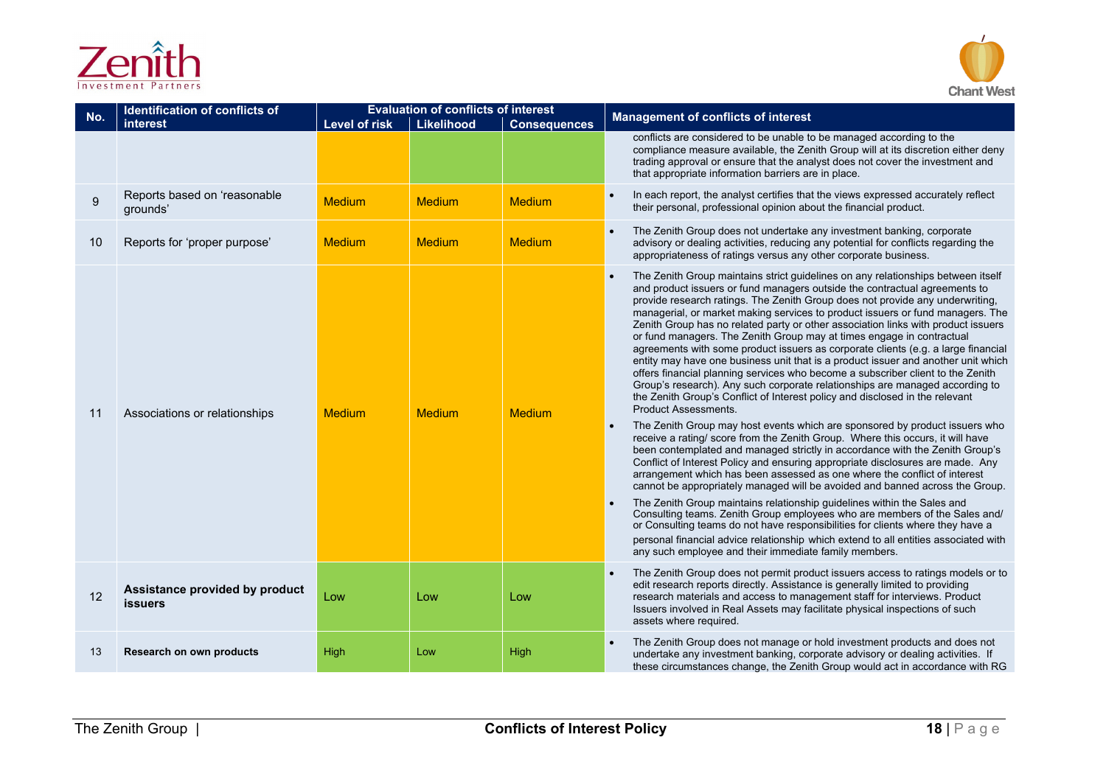



| No. | Identification of conflicts of<br>interest       | <b>Level of risk</b> | <b>Evaluation of conflicts of interest</b><br>Likelihood | <b>Consequences</b> | <b>Management of conflicts of interest</b>                                                                                                                                                                                                                                                                                                                                                                                                                                                                                                                                                                                                                                                                                                                                                                                                                                                                                                                                                                                                                                                                                                                                                                  |
|-----|--------------------------------------------------|----------------------|----------------------------------------------------------|---------------------|-------------------------------------------------------------------------------------------------------------------------------------------------------------------------------------------------------------------------------------------------------------------------------------------------------------------------------------------------------------------------------------------------------------------------------------------------------------------------------------------------------------------------------------------------------------------------------------------------------------------------------------------------------------------------------------------------------------------------------------------------------------------------------------------------------------------------------------------------------------------------------------------------------------------------------------------------------------------------------------------------------------------------------------------------------------------------------------------------------------------------------------------------------------------------------------------------------------|
|     |                                                  |                      |                                                          |                     | conflicts are considered to be unable to be managed according to the<br>compliance measure available, the Zenith Group will at its discretion either deny<br>trading approval or ensure that the analyst does not cover the investment and<br>that appropriate information barriers are in place.                                                                                                                                                                                                                                                                                                                                                                                                                                                                                                                                                                                                                                                                                                                                                                                                                                                                                                           |
| 9   | Reports based on 'reasonable<br>grounds'         | <b>Medium</b>        | <b>Medium</b>                                            | <b>Medium</b>       | In each report, the analyst certifies that the views expressed accurately reflect<br>their personal, professional opinion about the financial product.                                                                                                                                                                                                                                                                                                                                                                                                                                                                                                                                                                                                                                                                                                                                                                                                                                                                                                                                                                                                                                                      |
| 10  | Reports for 'proper purpose'                     | <b>Medium</b>        | <b>Medium</b>                                            | <b>Medium</b>       | The Zenith Group does not undertake any investment banking, corporate<br>advisory or dealing activities, reducing any potential for conflicts regarding the<br>appropriateness of ratings versus any other corporate business.                                                                                                                                                                                                                                                                                                                                                                                                                                                                                                                                                                                                                                                                                                                                                                                                                                                                                                                                                                              |
| 11  | Associations or relationships                    | <b>Medium</b>        | <b>Medium</b>                                            | Medium              | The Zenith Group maintains strict guidelines on any relationships between itself<br>and product issuers or fund managers outside the contractual agreements to<br>provide research ratings. The Zenith Group does not provide any underwriting,<br>managerial, or market making services to product issuers or fund managers. The<br>Zenith Group has no related party or other association links with product issuers<br>or fund managers. The Zenith Group may at times engage in contractual<br>agreements with some product issuers as corporate clients (e.g. a large financial<br>entity may have one business unit that is a product issuer and another unit which<br>offers financial planning services who become a subscriber client to the Zenith<br>Group's research). Any such corporate relationships are managed according to<br>the Zenith Group's Conflict of Interest policy and disclosed in the relevant<br><b>Product Assessments.</b><br>The Zenith Group may host events which are sponsored by product issuers who<br>receive a rating/score from the Zenith Group. Where this occurs, it will have<br>been contemplated and managed strictly in accordance with the Zenith Group's |
|     |                                                  |                      |                                                          |                     | Conflict of Interest Policy and ensuring appropriate disclosures are made. Any<br>arrangement which has been assessed as one where the conflict of interest<br>cannot be appropriately managed will be avoided and banned across the Group.<br>The Zenith Group maintains relationship quidelines within the Sales and<br>Consulting teams. Zenith Group employees who are members of the Sales and/<br>or Consulting teams do not have responsibilities for clients where they have a<br>personal financial advice relationship which extend to all entities associated with<br>any such employee and their immediate family members.                                                                                                                                                                                                                                                                                                                                                                                                                                                                                                                                                                      |
| 12  | Assistance provided by product<br><b>issuers</b> | Low                  | Low                                                      | Low                 | The Zenith Group does not permit product issuers access to ratings models or to<br>edit research reports directly. Assistance is generally limited to providing<br>research materials and access to management staff for interviews. Product<br>Issuers involved in Real Assets may facilitate physical inspections of such<br>assets where required.                                                                                                                                                                                                                                                                                                                                                                                                                                                                                                                                                                                                                                                                                                                                                                                                                                                       |
| 13  | Research on own products                         | High                 | Low                                                      | High                | The Zenith Group does not manage or hold investment products and does not<br>undertake any investment banking, corporate advisory or dealing activities. If<br>these circumstances change, the Zenith Group would act in accordance with RG                                                                                                                                                                                                                                                                                                                                                                                                                                                                                                                                                                                                                                                                                                                                                                                                                                                                                                                                                                 |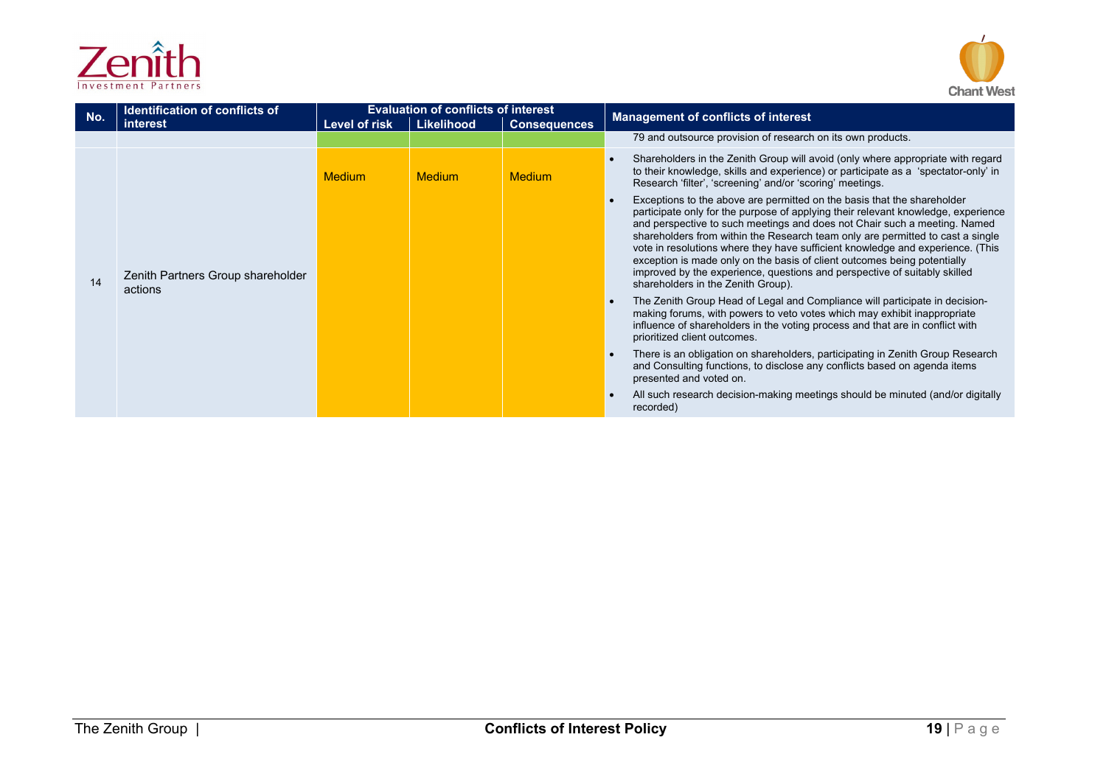

| Investment Partners |  |
|---------------------|--|

| No. | <b>Identification of conflicts of</b><br>interest | Level of risk | <b>Evaluation of conflicts of interest</b><br>Likelihood | <b>Consequences</b> | <b>Management of conflicts of interest</b>                                                                                                                                                                                                                                                                                                                                                                                                                                                                                                                                                                   |
|-----|---------------------------------------------------|---------------|----------------------------------------------------------|---------------------|--------------------------------------------------------------------------------------------------------------------------------------------------------------------------------------------------------------------------------------------------------------------------------------------------------------------------------------------------------------------------------------------------------------------------------------------------------------------------------------------------------------------------------------------------------------------------------------------------------------|
|     |                                                   |               |                                                          |                     | 79 and outsource provision of research on its own products.                                                                                                                                                                                                                                                                                                                                                                                                                                                                                                                                                  |
|     |                                                   | <b>Medium</b> | <b>Medium</b>                                            | <b>Medium</b>       | Shareholders in the Zenith Group will avoid (only where appropriate with regard<br>to their knowledge, skills and experience) or participate as a 'spectator-only' in<br>Research 'filter', 'screening' and/or 'scoring' meetings.                                                                                                                                                                                                                                                                                                                                                                           |
| 14  | Zenith Partners Group shareholder<br>actions      |               |                                                          |                     | Exceptions to the above are permitted on the basis that the shareholder<br>participate only for the purpose of applying their relevant knowledge, experience<br>and perspective to such meetings and does not Chair such a meeting. Named<br>shareholders from within the Research team only are permitted to cast a single<br>vote in resolutions where they have sufficient knowledge and experience. (This<br>exception is made only on the basis of client outcomes being potentially<br>improved by the experience, questions and perspective of suitably skilled<br>shareholders in the Zenith Group). |
|     |                                                   |               |                                                          |                     | The Zenith Group Head of Legal and Compliance will participate in decision-<br>making forums, with powers to veto votes which may exhibit inappropriate<br>influence of shareholders in the voting process and that are in conflict with<br>prioritized client outcomes.                                                                                                                                                                                                                                                                                                                                     |
|     |                                                   |               |                                                          |                     | There is an obligation on shareholders, participating in Zenith Group Research<br>and Consulting functions, to disclose any conflicts based on agenda items<br>presented and voted on.                                                                                                                                                                                                                                                                                                                                                                                                                       |
|     |                                                   |               |                                                          |                     | All such research decision-making meetings should be minuted (and/or digitally<br>recorded)                                                                                                                                                                                                                                                                                                                                                                                                                                                                                                                  |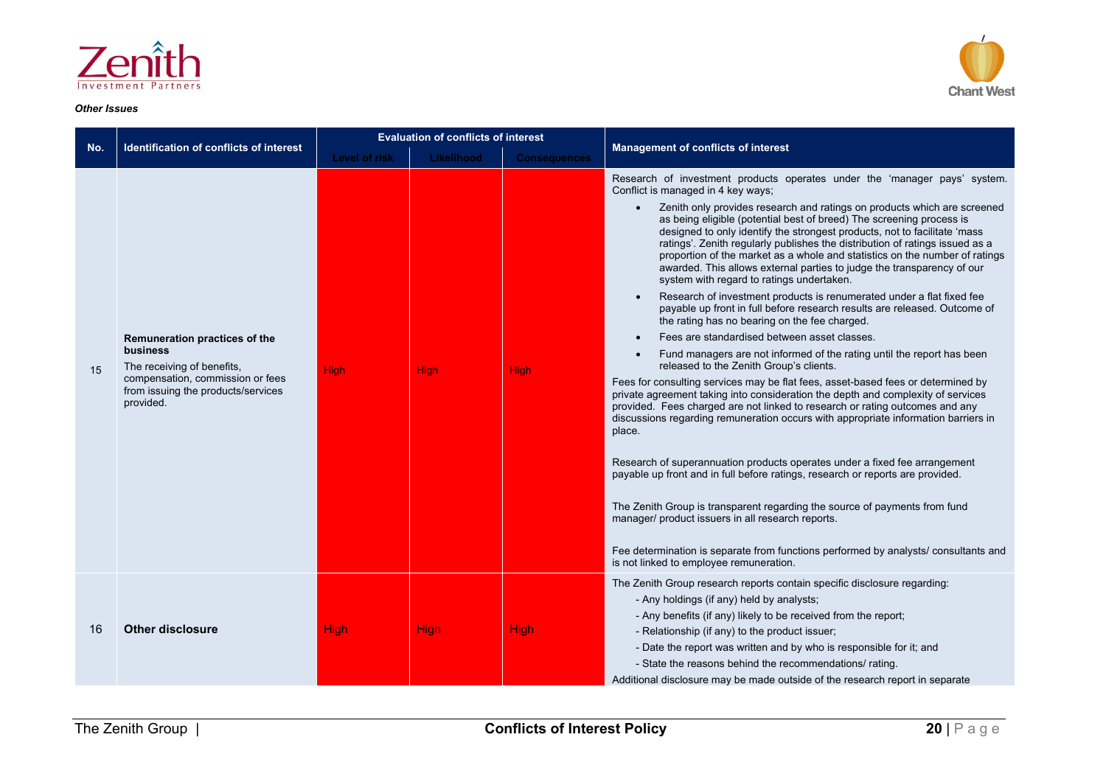

#### *Other Issues*



|     |                                                                                                                                                                | <b>Evaluation of conflicts of interest</b> |             |                     |                                                                                                                                                                                                                                                                                                                                                                                                                                                                                                                                                                                                                                                                                                                                                                                                                                                                                                                                                                                                                                                                                                                                                                                                                                                                                                                                                                                                                                                                                                                                                                                                                                                                                                                                                                                                                                           |
|-----|----------------------------------------------------------------------------------------------------------------------------------------------------------------|--------------------------------------------|-------------|---------------------|-------------------------------------------------------------------------------------------------------------------------------------------------------------------------------------------------------------------------------------------------------------------------------------------------------------------------------------------------------------------------------------------------------------------------------------------------------------------------------------------------------------------------------------------------------------------------------------------------------------------------------------------------------------------------------------------------------------------------------------------------------------------------------------------------------------------------------------------------------------------------------------------------------------------------------------------------------------------------------------------------------------------------------------------------------------------------------------------------------------------------------------------------------------------------------------------------------------------------------------------------------------------------------------------------------------------------------------------------------------------------------------------------------------------------------------------------------------------------------------------------------------------------------------------------------------------------------------------------------------------------------------------------------------------------------------------------------------------------------------------------------------------------------------------------------------------------------------------|
| No. | Identification of conflicts of interest                                                                                                                        | Level of risk                              | Likelihood  | <b>Consequences</b> | <b>Management of conflicts of interest</b>                                                                                                                                                                                                                                                                                                                                                                                                                                                                                                                                                                                                                                                                                                                                                                                                                                                                                                                                                                                                                                                                                                                                                                                                                                                                                                                                                                                                                                                                                                                                                                                                                                                                                                                                                                                                |
| 15  | Remuneration practices of the<br>business<br>The receiving of benefits,<br>compensation, commission or fees<br>from issuing the products/services<br>provided. | <b>High</b>                                | <b>High</b> | <b>High</b>         | Research of investment products operates under the 'manager pays' system.<br>Conflict is managed in 4 key ways;<br>Zenith only provides research and ratings on products which are screened<br>$\bullet$<br>as being eligible (potential best of breed) The screening process is<br>designed to only identify the strongest products, not to facilitate 'mass<br>ratings'. Zenith regularly publishes the distribution of ratings issued as a<br>proportion of the market as a whole and statistics on the number of ratings<br>awarded. This allows external parties to judge the transparency of our<br>system with regard to ratings undertaken.<br>Research of investment products is renumerated under a flat fixed fee<br>$\bullet$<br>payable up front in full before research results are released. Outcome of<br>the rating has no bearing on the fee charged.<br>Fees are standardised between asset classes.<br>Fund managers are not informed of the rating until the report has been<br>released to the Zenith Group's clients.<br>Fees for consulting services may be flat fees, asset-based fees or determined by<br>private agreement taking into consideration the depth and complexity of services<br>provided. Fees charged are not linked to research or rating outcomes and any<br>discussions regarding remuneration occurs with appropriate information barriers in<br>place.<br>Research of superannuation products operates under a fixed fee arrangement<br>payable up front and in full before ratings, research or reports are provided.<br>The Zenith Group is transparent regarding the source of payments from fund<br>manager/ product issuers in all research reports.<br>Fee determination is separate from functions performed by analysts/ consultants and<br>is not linked to employee remuneration. |
| 16  | <b>Other disclosure</b>                                                                                                                                        | <b>High</b>                                | <b>High</b> | <b>High</b>         | The Zenith Group research reports contain specific disclosure regarding:<br>- Any holdings (if any) held by analysts;<br>- Any benefits (if any) likely to be received from the report;<br>- Relationship (if any) to the product issuer;<br>- Date the report was written and by who is responsible for it; and<br>- State the reasons behind the recommendations/ rating.<br>Additional disclosure may be made outside of the research report in separate                                                                                                                                                                                                                                                                                                                                                                                                                                                                                                                                                                                                                                                                                                                                                                                                                                                                                                                                                                                                                                                                                                                                                                                                                                                                                                                                                                               |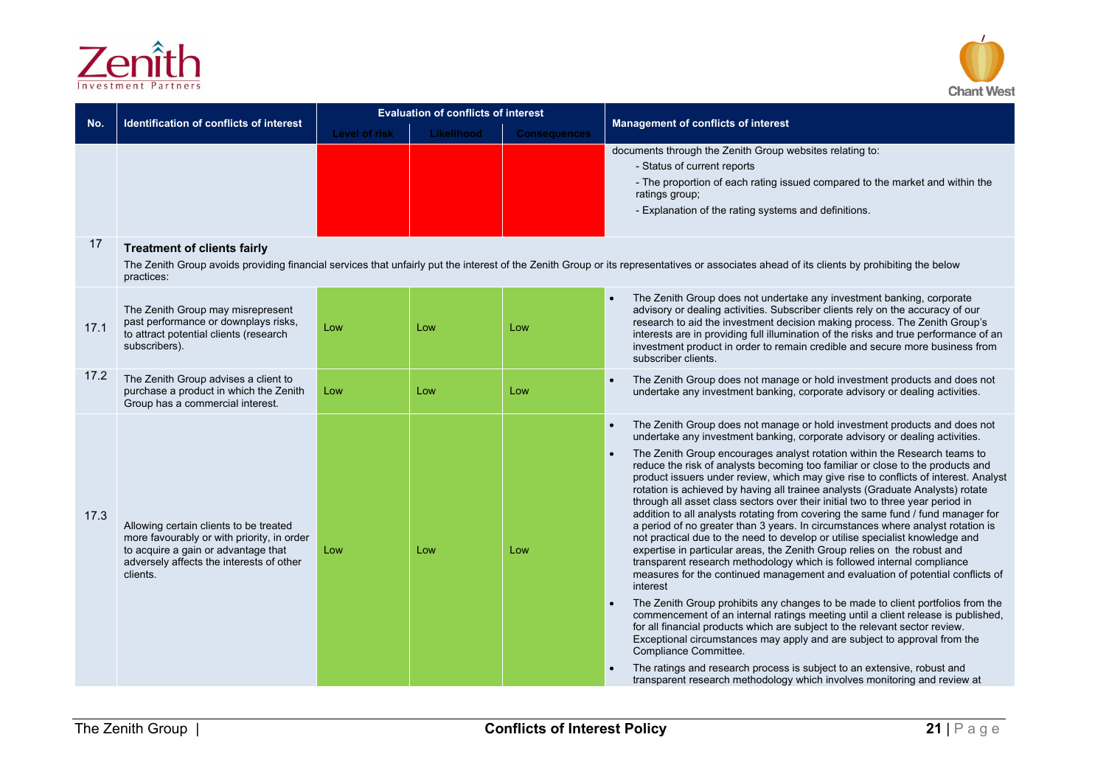



|      | Identification of conflicts of interest                                                                                                                                             | <b>Evaluation of conflicts of interest</b> |            |                     |                                                                                                                                                                                                                                                                                                                                                                                                                                                                                                                                                                                                                                                                                                                                                                                                                                                                                                                                                                                                                      |
|------|-------------------------------------------------------------------------------------------------------------------------------------------------------------------------------------|--------------------------------------------|------------|---------------------|----------------------------------------------------------------------------------------------------------------------------------------------------------------------------------------------------------------------------------------------------------------------------------------------------------------------------------------------------------------------------------------------------------------------------------------------------------------------------------------------------------------------------------------------------------------------------------------------------------------------------------------------------------------------------------------------------------------------------------------------------------------------------------------------------------------------------------------------------------------------------------------------------------------------------------------------------------------------------------------------------------------------|
| No.  |                                                                                                                                                                                     | <b>Level of risk</b>                       | Likelihood | <b>Consequences</b> | <b>Management of conflicts of interest</b>                                                                                                                                                                                                                                                                                                                                                                                                                                                                                                                                                                                                                                                                                                                                                                                                                                                                                                                                                                           |
|      |                                                                                                                                                                                     |                                            |            |                     | documents through the Zenith Group websites relating to:<br>- Status of current reports<br>- The proportion of each rating issued compared to the market and within the<br>ratings group;<br>- Explanation of the rating systems and definitions.                                                                                                                                                                                                                                                                                                                                                                                                                                                                                                                                                                                                                                                                                                                                                                    |
| 17   | <b>Treatment of clients fairly</b>                                                                                                                                                  |                                            |            |                     |                                                                                                                                                                                                                                                                                                                                                                                                                                                                                                                                                                                                                                                                                                                                                                                                                                                                                                                                                                                                                      |
|      | practices:                                                                                                                                                                          |                                            |            |                     | The Zenith Group avoids providing financial services that unfairly put the interest of the Zenith Group or its representatives or associates ahead of its clients by prohibiting the below                                                                                                                                                                                                                                                                                                                                                                                                                                                                                                                                                                                                                                                                                                                                                                                                                           |
| 17.1 | The Zenith Group may misrepresent<br>past performance or downplays risks,<br>to attract potential clients (research<br>subscribers).                                                | Low                                        | Low        | Low                 | The Zenith Group does not undertake any investment banking, corporate<br>advisory or dealing activities. Subscriber clients rely on the accuracy of our<br>research to aid the investment decision making process. The Zenith Group's<br>interests are in providing full illumination of the risks and true performance of an<br>investment product in order to remain credible and secure more business from<br>subscriber clients.                                                                                                                                                                                                                                                                                                                                                                                                                                                                                                                                                                                 |
| 17.2 | The Zenith Group advises a client to<br>purchase a product in which the Zenith<br>Group has a commercial interest.                                                                  | Low                                        | Low        | Low                 | The Zenith Group does not manage or hold investment products and does not<br>undertake any investment banking, corporate advisory or dealing activities.                                                                                                                                                                                                                                                                                                                                                                                                                                                                                                                                                                                                                                                                                                                                                                                                                                                             |
|      |                                                                                                                                                                                     |                                            |            |                     | The Zenith Group does not manage or hold investment products and does not<br>undertake any investment banking, corporate advisory or dealing activities.                                                                                                                                                                                                                                                                                                                                                                                                                                                                                                                                                                                                                                                                                                                                                                                                                                                             |
| 17.3 | Allowing certain clients to be treated<br>more favourably or with priority, in order<br>to acquire a gain or advantage that<br>adversely affects the interests of other<br>clients. | Low                                        | Low        | Low                 | The Zenith Group encourages analyst rotation within the Research teams to<br>reduce the risk of analysts becoming too familiar or close to the products and<br>product issuers under review, which may give rise to conflicts of interest. Analyst<br>rotation is achieved by having all trainee analysts (Graduate Analysts) rotate<br>through all asset class sectors over their initial two to three year period in<br>addition to all analysts rotating from covering the same fund / fund manager for<br>a period of no greater than 3 years. In circumstances where analyst rotation is<br>not practical due to the need to develop or utilise specialist knowledge and<br>expertise in particular areas, the Zenith Group relies on the robust and<br>transparent research methodology which is followed internal compliance<br>measures for the continued management and evaluation of potential conflicts of<br>interest<br>The Zenith Group prohibits any changes to be made to client portfolios from the |
|      |                                                                                                                                                                                     |                                            |            |                     | commencement of an internal ratings meeting until a client release is published.<br>for all financial products which are subject to the relevant sector review.<br>Exceptional circumstances may apply and are subject to approval from the<br>Compliance Committee.                                                                                                                                                                                                                                                                                                                                                                                                                                                                                                                                                                                                                                                                                                                                                 |
|      |                                                                                                                                                                                     |                                            |            |                     | The ratings and research process is subject to an extensive, robust and<br>transparent research methodology which involves monitoring and review at                                                                                                                                                                                                                                                                                                                                                                                                                                                                                                                                                                                                                                                                                                                                                                                                                                                                  |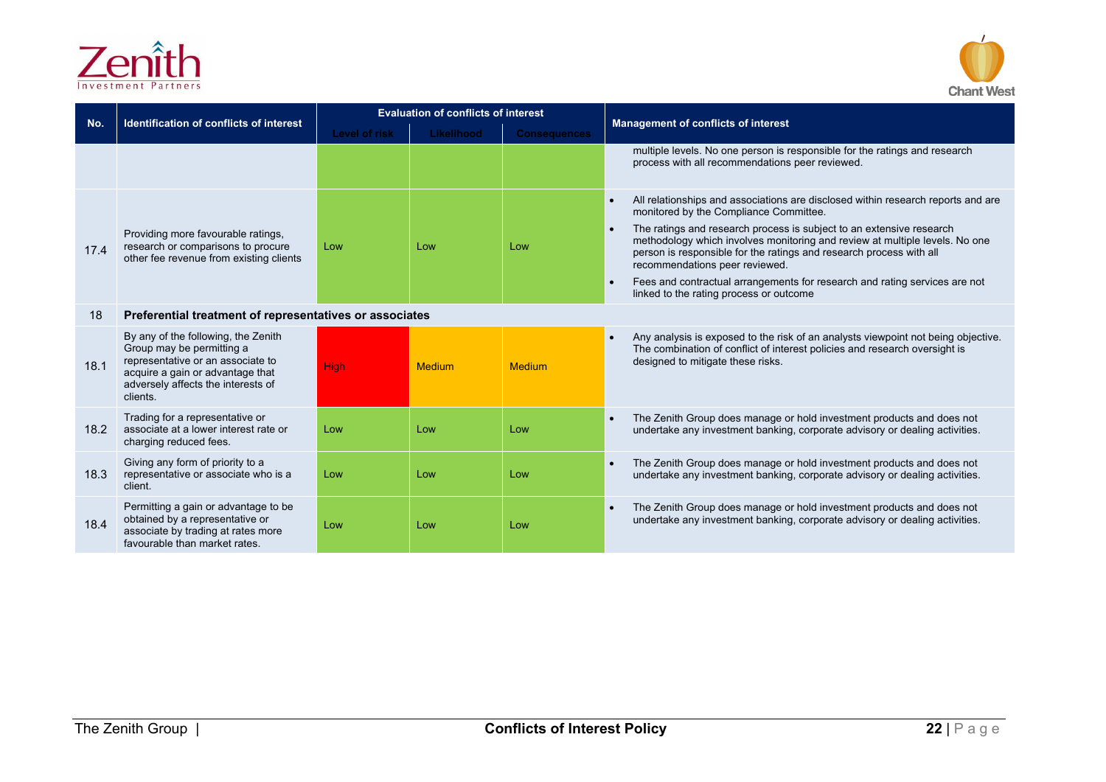



| No.  | <b>Identification of conflicts of interest</b>                                                                                                                                              | <b>Evaluation of conflicts of interest</b> |                   |                     | <b>Management of conflicts of interest</b>                                                                                                                                                                                                                   |
|------|---------------------------------------------------------------------------------------------------------------------------------------------------------------------------------------------|--------------------------------------------|-------------------|---------------------|--------------------------------------------------------------------------------------------------------------------------------------------------------------------------------------------------------------------------------------------------------------|
|      |                                                                                                                                                                                             | <b>Level of risk</b>                       | <b>Likelihood</b> | <b>Consequences</b> |                                                                                                                                                                                                                                                              |
|      |                                                                                                                                                                                             |                                            |                   |                     | multiple levels. No one person is responsible for the ratings and research<br>process with all recommendations peer reviewed.                                                                                                                                |
|      |                                                                                                                                                                                             |                                            |                   |                     | All relationships and associations are disclosed within research reports and are<br>$\bullet$<br>monitored by the Compliance Committee.                                                                                                                      |
| 17.4 | Providing more favourable ratings,<br>research or comparisons to procure<br>other fee revenue from existing clients                                                                         | Low                                        | Low               | Low                 | The ratings and research process is subject to an extensive research<br>methodology which involves monitoring and review at multiple levels. No one<br>person is responsible for the ratings and research process with all<br>recommendations peer reviewed. |
|      |                                                                                                                                                                                             |                                            |                   |                     | Fees and contractual arrangements for research and rating services are not<br>$\bullet$<br>linked to the rating process or outcome                                                                                                                           |
| 18   | Preferential treatment of representatives or associates                                                                                                                                     |                                            |                   |                     |                                                                                                                                                                                                                                                              |
| 18.1 | By any of the following, the Zenith<br>Group may be permitting a<br>representative or an associate to<br>acquire a gain or advantage that<br>adversely affects the interests of<br>clients. | <b>High</b>                                | <b>Medium</b>     | <b>Medium</b>       | Any analysis is exposed to the risk of an analysts viewpoint not being objective.<br>The combination of conflict of interest policies and research oversight is<br>designed to mitigate these risks.                                                         |
| 18.2 | Trading for a representative or<br>associate at a lower interest rate or<br>charging reduced fees.                                                                                          | Low                                        | Low               | Low                 | The Zenith Group does manage or hold investment products and does not<br>undertake any investment banking, corporate advisory or dealing activities.                                                                                                         |
| 18.3 | Giving any form of priority to a<br>representative or associate who is a<br>client.                                                                                                         | Low                                        | Low               | Low                 | The Zenith Group does manage or hold investment products and does not<br>undertake any investment banking, corporate advisory or dealing activities.                                                                                                         |
| 18.4 | Permitting a gain or advantage to be<br>obtained by a representative or<br>associate by trading at rates more<br>favourable than market rates.                                              | Low                                        | Low               | Low                 | The Zenith Group does manage or hold investment products and does not<br>undertake any investment banking, corporate advisory or dealing activities.                                                                                                         |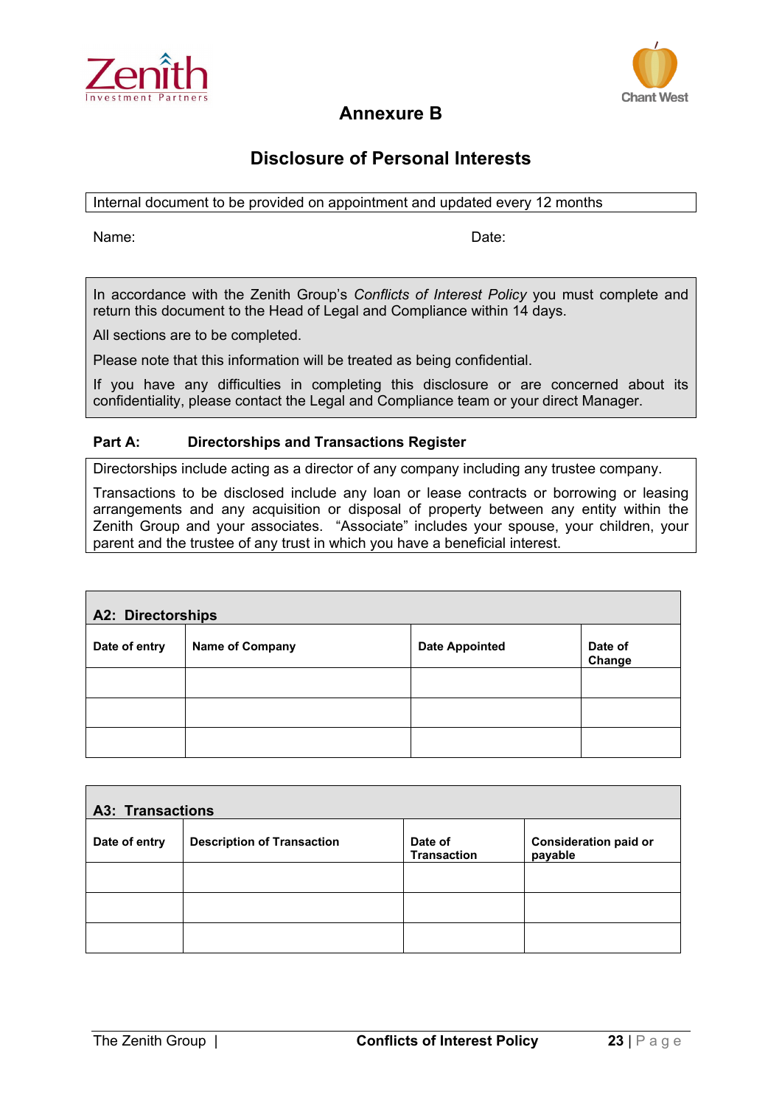



# **Annexure B**

# **Disclosure of Personal Interests**

Internal document to be provided on appointment and updated every 12 months

Name: **Name:** 2008. Example 2014 12:30 Name: 2014 2014 2015 2016 2017 2018 2019 2014 2016 2017 2018 2017 2018 2017 2018 2017 2018 2017 2018 2017 2018 2017 2018 2017 2018 2017 2018 2017 2018 2017 2018 2017 2018 2017 2018 20

In accordance with the Zenith Group's *Conflicts of Interest Policy* you must complete and return this document to the Head of Legal and Compliance within 14 days.

All sections are to be completed.

Please note that this information will be treated as being confidential.

If you have any difficulties in completing this disclosure or are concerned about its confidentiality, please contact the Legal and Compliance team or your direct Manager.

# **Part A: Directorships and Transactions Register**

Directorships include acting as a director of any company including any trustee company.

Transactions to be disclosed include any loan or lease contracts or borrowing or leasing arrangements and any acquisition or disposal of property between any entity within the Zenith Group and your associates. "Associate" includes your spouse, your children, your parent and the trustee of any trust in which you have a beneficial interest.

| <b>A2: Directorships</b> |                        |                       |                   |  |
|--------------------------|------------------------|-----------------------|-------------------|--|
| Date of entry            | <b>Name of Company</b> | <b>Date Appointed</b> | Date of<br>Change |  |
|                          |                        |                       |                   |  |
|                          |                        |                       |                   |  |
|                          |                        |                       |                   |  |

| <b>A3: Transactions</b> |                                   |                               |                                         |  |
|-------------------------|-----------------------------------|-------------------------------|-----------------------------------------|--|
| Date of entry           | <b>Description of Transaction</b> | Date of<br><b>Transaction</b> | <b>Consideration paid or</b><br>payable |  |
|                         |                                   |                               |                                         |  |
|                         |                                   |                               |                                         |  |
|                         |                                   |                               |                                         |  |